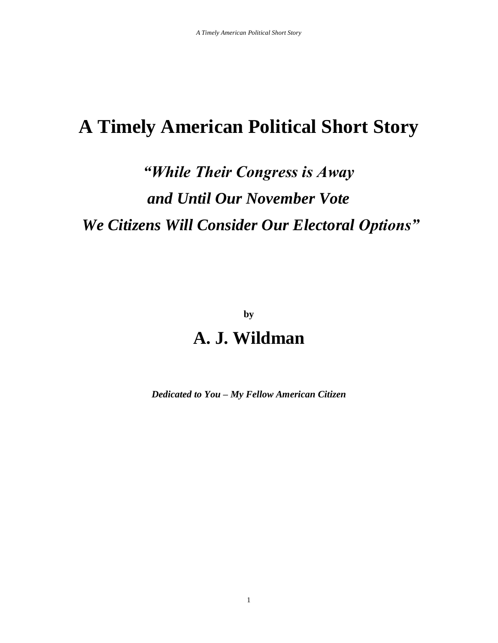# *"While Their Congress is Away and Until Our November Vote We Citizens Will Consider Our Electoral Options"*

**by** 

# **A. J. Wildman**

*Dedicated to You – My Fellow American Citizen*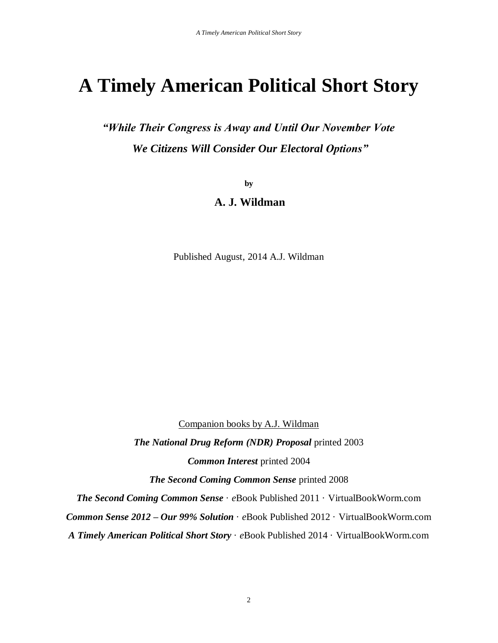*"While Their Congress is Away and Until Our November Vote We Citizens Will Consider Our Electoral Options"*

**by**

# **A. J. Wildman**

Published August, 2014 A.J. Wildman

Companion books by A.J. Wildman *The National Drug Reform (NDR) Proposal* printed 2003 *Common Interest* printed 2004 *The Second Coming Common Sense* printed 2008 *The Second Coming Common Sense* · *e*Book Published 2011 · VirtualBookWorm.com *Common Sense 2012 – Our 99% Solution* · *e*Book Published 2012 · VirtualBookWorm.com *A Timely American Political Short Story* · *e*Book Published 2014 · VirtualBookWorm.com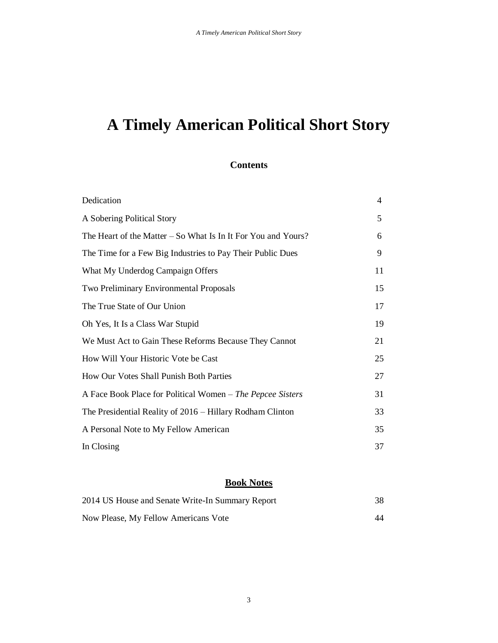## **Contents**

| Dedication                                                      | 4  |
|-----------------------------------------------------------------|----|
| A Sobering Political Story                                      | 5  |
| The Heart of the Matter $-$ So What Is In It For You and Yours? | 6  |
| The Time for a Few Big Industries to Pay Their Public Dues      | 9  |
| What My Underdog Campaign Offers                                | 11 |
| Two Preliminary Environmental Proposals                         | 15 |
| The True State of Our Union                                     | 17 |
| Oh Yes, It Is a Class War Stupid                                | 19 |
| We Must Act to Gain These Reforms Because They Cannot           | 21 |
| How Will Your Historic Vote be Cast                             | 25 |
| How Our Votes Shall Punish Both Parties                         | 27 |
| A Face Book Place for Political Women – The Pepcee Sisters      | 31 |
| The Presidential Reality of 2016 – Hillary Rodham Clinton       | 33 |
| A Personal Note to My Fellow American                           | 35 |
| In Closing                                                      | 37 |

# **Book Notes**

| 2014 US House and Senate Write-In Summary Report |  |
|--------------------------------------------------|--|
| Now Please, My Fellow Americans Vote             |  |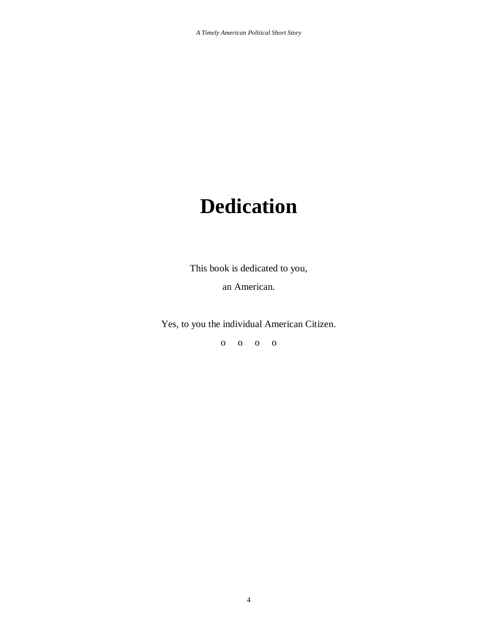# **Dedication**

This book is dedicated to you,

an American.

Yes, to you the individual American Citizen.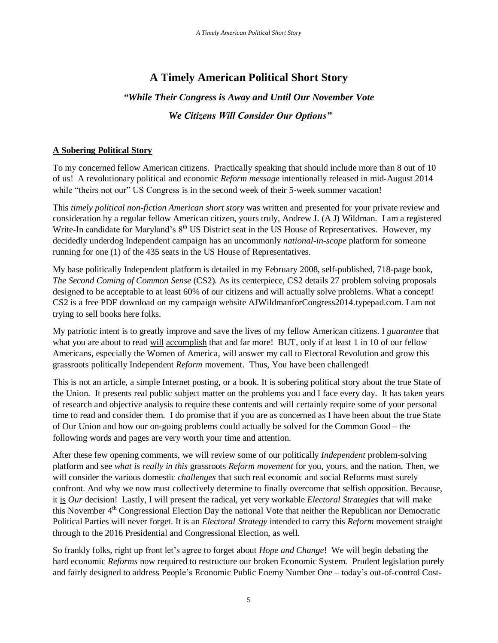# *"While Their Congress is Away and Until Our November Vote We Citizens Will Consider Our Options"*

# **A Sobering Political Story**

To my concerned fellow American citizens. Practically speaking that should include more than 8 out of 10 of us! A revolutionary political and economic *Reform message* intentionally released in mid-August 2014 while "theirs not our" US Congress is in the second week of their 5-week summer vacation!

This *timely political non-fiction American short story* was written and presented for your private review and consideration by a regular fellow American citizen, yours truly, Andrew J. (A J) Wildman. I am a registered Write-In candidate for Maryland's  $8<sup>th</sup>$  US District seat in the US House of Representatives. However, my decidedly underdog Independent campaign has an uncommonly *national-in-scope* platform for someone running for one (1) of the 435 seats in the US House of Representatives.

My base politically Independent platform is detailed in my February 2008, self-published, 718-page book, *The Second Coming of Common Sense* (CS2). As its centerpiece, CS2 details 27 problem solving proposals designed to be acceptable to at least 60% of our citizens and will actually solve problems. What a concept! CS2 is a free PDF download on my campaign website AJWildmanforCongress2014.typepad.com. I am not trying to sell books here folks.

My patriotic intent is to greatly improve and save the lives of my fellow American citizens. I *guarantee* that what you are about to read will accomplish that and far more! BUT, only if at least 1 in 10 of our fellow Americans, especially the Women of America, will answer my call to Electoral Revolution and grow this grassroots politically Independent *Reform* movement. Thus, You have been challenged!

This is not an article, a simple Internet posting, or a book. It is sobering political story about the true State of the Union. It presents real public subject matter on the problems you and I face every day. It has taken years of research and objective analysis to require these contents and will certainly require some of your personal time to read and consider them. I do promise that if you are as concerned as I have been about the true State of Our Union and how our on-going problems could actually be solved for the Common Good – the following words and pages are very worth your time and attention.

After these few opening comments, we will review some of our politically *Independent* problem-solving platform and see *what is really in this* grassroots *Reform movement* for you, yours, and the nation. Then, we will consider the various domestic *challenges* that such real economic and social Reforms must surely confront. And why we now must collectively determine to finally overcome that selfish opposition. Because, it is *Our* decision! Lastly, I will present the radical, yet very workable *Electoral Strategies* that will make this November 4<sup>th</sup> Congressional Election Day the national Vote that neither the Republican nor Democratic Political Parties will never forget. It is an *Electoral Strategy* intended to carry this *Reform* movement straight through to the 2016 Presidential and Congressional Election, as well.

So frankly folks, right up front let's agree to forget about *Hope and Change*! We will begin debating the hard economic *Reforms* now required to restructure our broken Economic System. Prudent legislation purely and fairly designed to address People's Economic Public Enemy Number One – today's out-of-control Cost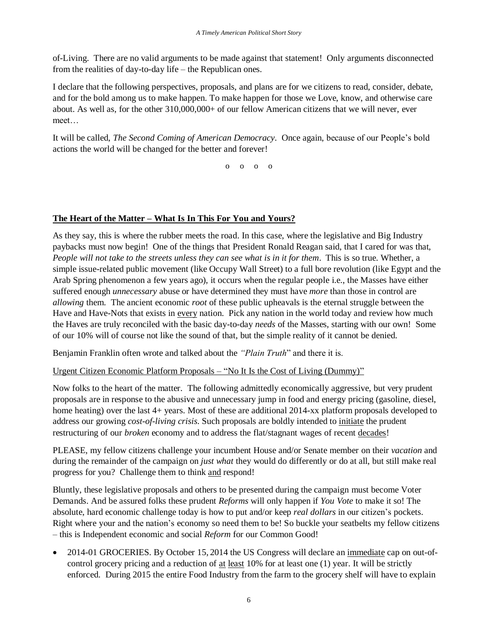of-Living. There are no valid arguments to be made against that statement! Only arguments disconnected from the realities of day-to-day life – the Republican ones.

I declare that the following perspectives, proposals, and plans are for we citizens to read, consider, debate, and for the bold among us to make happen. To make happen for those we Love, know, and otherwise care about. As well as, for the other 310,000,000+ of our fellow American citizens that we will never, ever meet…

It will be called, *The Second Coming of American Democracy*. Once again, because of our People's bold actions the world will be changed for the better and forever!

o o o o

# **The Heart of the Matter – What Is In This For You and Yours?**

As they say, this is where the rubber meets the road. In this case, where the legislative and Big Industry paybacks must now begin! One of the things that President Ronald Reagan said, that I cared for was that, *People will not take to the streets unless they can see what is in it for them*. This is so true. Whether, a simple issue-related public movement (like Occupy Wall Street) to a full bore revolution (like Egypt and the Arab Spring phenomenon a few years ago), it occurs when the regular people i.e., the Masses have either suffered enough *unnecessary* abuse or have determined they must have *more* than those in control are *allowing* them. The ancient economic *root* of these public upheavals is the eternal struggle between the Have and Have-Nots that exists in every nation. Pick any nation in the world today and review how much the Haves are truly reconciled with the basic day-to-day *needs* of the Masses, starting with our own! Some of our 10% will of course not like the sound of that, but the simple reality of it cannot be denied.

Benjamin Franklin often wrote and talked about the *"Plain Truth*" and there it is.

Urgent Citizen Economic Platform Proposals – "No It Is the Cost of Living (Dummy)"

Now folks to the heart of the matter. The following admittedly economically aggressive, but very prudent proposals are in response to the abusive and unnecessary jump in food and energy pricing (gasoline, diesel, home heating) over the last 4+ years. Most of these are additional 2014-xx platform proposals developed to address our growing *cost-of-living crisis*. Such proposals are boldly intended to initiate the prudent restructuring of our *broken* economy and to address the flat/stagnant wages of recent decades!

PLEASE, my fellow citizens challenge your incumbent House and/or Senate member on their *vacation* and during the remainder of the campaign on *just what* they would do differently or do at all, but still make real progress for you? Challenge them to think and respond!

Bluntly, these legislative proposals and others to be presented during the campaign must become Voter Demands. And be assured folks these prudent *Reforms* will only happen if *You Vote* to make it so! The absolute, hard economic challenge today is how to put and/or keep *real dollars* in our citizen's pockets. Right where your and the nation's economy so need them to be! So buckle your seatbelts my fellow citizens – this is Independent economic and social *Reform* for our Common Good!

• 2014-01 GROCERIES. By October 15, 2014 the US Congress will declare an immediate cap on out-ofcontrol grocery pricing and a reduction of at least 10% for at least one (1) year. It will be strictly enforced. During 2015 the entire Food Industry from the farm to the grocery shelf will have to explain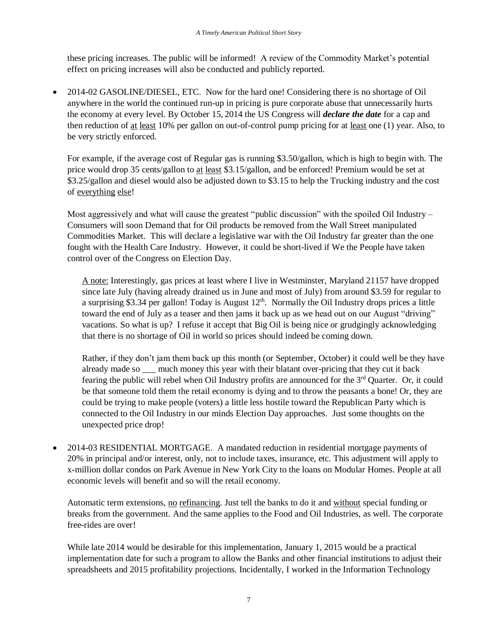these pricing increases. The public will be informed! A review of the Commodity Market's potential effect on pricing increases will also be conducted and publicly reported.

 2014-02 GASOLINE/DIESEL, ETC. Now for the hard one! Considering there is no shortage of Oil anywhere in the world the continued run-up in pricing is pure corporate abuse that unnecessarily hurts the economy at every level. By October 15, 2014 the US Congress will *declare the date* for a cap and then reduction of at least 10% per gallon on out-of-control pump pricing for at least one (1) year. Also, to be very strictly enforced.

For example, if the average cost of Regular gas is running \$3.50/gallon, which is high to begin with. The price would drop 35 cents/gallon to at least \$3.15/gallon, and be enforced! Premium would be set at \$3.25/gallon and diesel would also be adjusted down to \$3.15 to help the Trucking industry and the cost of everything else!

Most aggressively and what will cause the greatest "public discussion" with the spoiled Oil Industry – Consumers will soon Demand that for Oil products be removed from the Wall Street manipulated Commodities Market. This will declare a legislative war with the Oil Industry far greater than the one fought with the Health Care Industry. However, it could be short-lived if We the People have taken control over of the Congress on Election Day.

A note: Interestingly, gas prices at least where I live in Westminster, Maryland 21157 have dropped since late July (having already drained us in June and most of July) from around \$3.59 for regular to a surprising \$3.34 per gallon! Today is August  $12<sup>th</sup>$ . Normally the Oil Industry drops prices a little toward the end of July as a teaser and then jams it back up as we head out on our August "driving" vacations. So what is up? I refuse it accept that Big Oil is being nice or grudgingly acknowledging that there is no shortage of Oil in world so prices should indeed be coming down.

Rather, if they don't jam them back up this month (or September, October) it could well be they have already made so \_\_\_ much money this year with their blatant over-pricing that they cut it back fearing the public will rebel when Oil Industry profits are announced for the 3<sup>rd</sup> Quarter. Or, it could be that someone told them the retail economy is dying and to throw the peasants a bone! Or, they are could be trying to make people (voters) a little less hostile toward the Republican Party which is connected to the Oil Industry in our minds Election Day approaches. Just some thoughts on the unexpected price drop!

 2014-03 RESIDENTIAL MORTGAGE. A mandated reduction in residential mortgage payments of 20% in principal and/or interest, only, not to include taxes, insurance, etc. This adjustment will apply to x-million dollar condos on Park Avenue in New York City to the loans on Modular Homes. People at all economic levels will benefit and so will the retail economy.

Automatic term extensions, no refinancing. Just tell the banks to do it and without special funding or breaks from the government. And the same applies to the Food and Oil Industries, as well. The corporate free-rides are over!

While late 2014 would be desirable for this implementation, January 1, 2015 would be a practical implementation date for such a program to allow the Banks and other financial institutions to adjust their spreadsheets and 2015 profitability projections. Incidentally, I worked in the Information Technology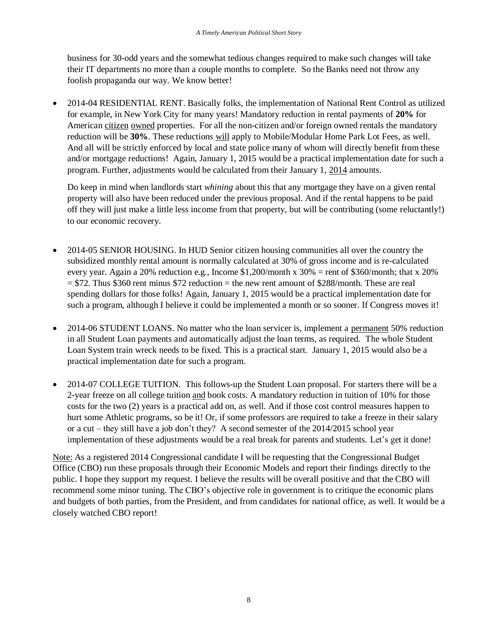business for 30-odd years and the somewhat tedious changes required to make such changes will take their IT departments no more than a couple months to complete. So the Banks need not throw any foolish propaganda our way. We know better!

• 2014-04 RESIDENTIAL RENT. Basically folks, the implementation of National Rent Control as utilized for example, in New York City for many years! Mandatory reduction in rental payments of **20%** for American citizen owned properties. For all the non-citizen and/or foreign owned rentals the mandatory reduction will be **30%**. These reductions will apply to Mobile/Modular Home Park Lot Fees, as well. And all will be strictly enforced by local and state police many of whom will directly benefit from these and/or mortgage reductions! Again, January 1, 2015 would be a practical implementation date for such a program. Further, adjustments would be calculated from their January 1, 2014 amounts.

Do keep in mind when landlords start *whining* about this that any mortgage they have on a given rental property will also have been reduced under the previous proposal. And if the rental happens to be paid off they will just make a little less income from that property, but will be contributing (some reluctantly!) to our economic recovery.

- 2014-05 SENIOR HOUSING. In HUD Senior citizen housing communities all over the country the subsidized monthly rental amount is normally calculated at 30% of gross income and is re-calculated every year. Again a 20% reduction e.g., Income \$1,200/month x 30% = rent of \$360/month; that x 20%  $= $72$ . Thus \$360 rent minus \$72 reduction  $=$  the new rent amount of \$288/month. These are real spending dollars for those folks! Again, January 1, 2015 would be a practical implementation date for such a program, although I believe it could be implemented a month or so sooner. If Congress moves it!
- 2014-06 STUDENT LOANS. No matter who the loan servicer is, implement a permanent 50% reduction in all Student Loan payments and automatically adjust the loan terms, as required. The whole Student Loan System train wreck needs to be fixed. This is a practical start. January 1, 2015 would also be a practical implementation date for such a program.
- 2014-07 COLLEGE TUITION. This follows-up the Student Loan proposal. For starters there will be a 2-year freeze on all college tuition and book costs. A mandatory reduction in tuition of 10% for those costs for the two (2) years is a practical add on, as well. And if those cost control measures happen to hurt some Athletic programs, so be it! Or, if some professors are required to take a freeze in their salary or a cut – they still have a job don't they? A second semester of the 2014/2015 school year implementation of these adjustments would be a real break for parents and students. Let's get it done!

Note: As a registered 2014 Congressional candidate I will be requesting that the Congressional Budget Office (CBO) run these proposals through their Economic Models and report their findings directly to the public. I hope they support my request. I believe the results will be overall positive and that the CBO will recommend some minor tuning. The CBO's objective role in government is to critique the economic plans and budgets of both parties, from the President, and from candidates for national office, as well. It would be a closely watched CBO report!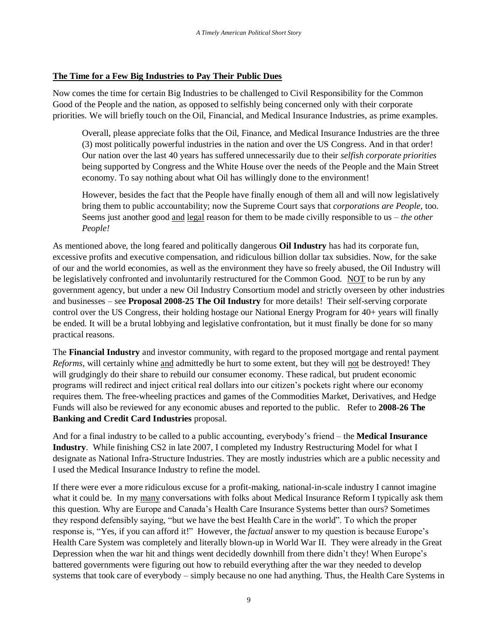# **The Time for a Few Big Industries to Pay Their Public Dues**

Now comes the time for certain Big Industries to be challenged to Civil Responsibility for the Common Good of the People and the nation, as opposed to selfishly being concerned only with their corporate priorities. We will briefly touch on the Oil, Financial, and Medical Insurance Industries, as prime examples.

Overall, please appreciate folks that the Oil, Finance, and Medical Insurance Industries are the three (3) most politically powerful industries in the nation and over the US Congress. And in that order! Our nation over the last 40 years has suffered unnecessarily due to their *selfish corporate priorities* being supported by Congress and the White House over the needs of the People and the Main Street economy. To say nothing about what Oil has willingly done to the environment!

However, besides the fact that the People have finally enough of them all and will now legislatively bring them to public accountability; now the Supreme Court says that *corporations are People*, too. Seems just another good and legal reason for them to be made civilly responsible to us – *the other People!* 

As mentioned above, the long feared and politically dangerous **Oil Industry** has had its corporate fun, excessive profits and executive compensation, and ridiculous billion dollar tax subsidies. Now, for the sake of our and the world economies, as well as the environment they have so freely abused, the Oil Industry will be legislatively confronted and involuntarily restructured for the Common Good. NOT to be run by any government agency, but under a new Oil Industry Consortium model and strictly overseen by other industries and businesses – see **Proposal 2008-25 The Oil Industry** for more details! Their self-serving corporate control over the US Congress, their holding hostage our National Energy Program for 40+ years will finally be ended. It will be a brutal lobbying and legislative confrontation, but it must finally be done for so many practical reasons.

The **Financial Industry** and investor community, with regard to the proposed mortgage and rental payment *Reforms*, will certainly whine and admittedly be hurt to some extent, but they will not be destroyed! They will grudgingly do their share to rebuild our consumer economy. These radical, but prudent economic programs will redirect and inject critical real dollars into our citizen's pockets right where our economy requires them. The free-wheeling practices and games of the Commodities Market, Derivatives, and Hedge Funds will also be reviewed for any economic abuses and reported to the public. Refer to **2008-26 The Banking and Credit Card Industries** proposal.

And for a final industry to be called to a public accounting, everybody's friend – the **Medical Insurance Industry**. While finishing CS2 in late 2007, I completed my Industry Restructuring Model for what I designate as National Infra-Structure Industries. They are mostly industries which are a public necessity and I used the Medical Insurance Industry to refine the model.

If there were ever a more ridiculous excuse for a profit-making, national-in-scale industry I cannot imagine what it could be. In my many conversations with folks about Medical Insurance Reform I typically ask them this question. Why are Europe and Canada's Health Care Insurance Systems better than ours? Sometimes they respond defensibly saying, "but we have the best Health Care in the world". To which the proper response is, "Yes, if you can afford it!" However, the *factual* answer to my question is because Europe's Health Care System was completely and literally blown-up in World War II. They were already in the Great Depression when the war hit and things went decidedly downhill from there didn't they! When Europe's battered governments were figuring out how to rebuild everything after the war they needed to develop systems that took care of everybody – simply because no one had anything. Thus, the Health Care Systems in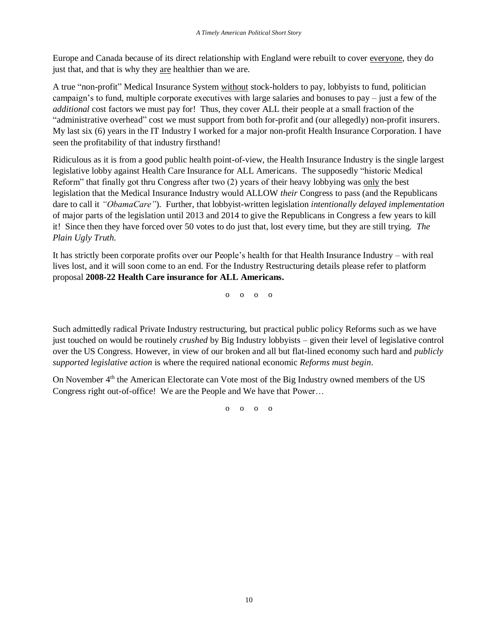Europe and Canada because of its direct relationship with England were rebuilt to cover everyone, they do just that, and that is why they are healthier than we are.

A true "non-profit" Medical Insurance System without stock-holders to pay, lobbyists to fund, politician campaign's to fund, multiple corporate executives with large salaries and bonuses to pay – just a few of the *additional* cost factors we must pay for! Thus, they cover ALL their people at a small fraction of the "administrative overhead" cost we must support from both for-profit and (our allegedly) non-profit insurers. My last six (6) years in the IT Industry I worked for a major non-profit Health Insurance Corporation. I have seen the profitability of that industry firsthand!

Ridiculous as it is from a good public health point-of-view, the Health Insurance Industry is the single largest legislative lobby against Health Care Insurance for ALL Americans. The supposedly "historic Medical Reform" that finally got thru Congress after two (2) years of their heavy lobbying was only the best legislation that the Medical Insurance Industry would ALLOW *their* Congress to pass (and the Republicans dare to call it *"ObamaCare"*). Further, that lobbyist-written legislation *intentionally delayed implementation* of major parts of the legislation until 2013 and 2014 to give the Republicans in Congress a few years to kill it! Since then they have forced over 50 votes to do just that, lost every time, but they are still trying. *The Plain Ugly Truth.*

It has strictly been corporate profits over our People's health for that Health Insurance Industry – with real lives lost, and it will soon come to an end. For the Industry Restructuring details please refer to platform proposal **2008-22 Health Care insurance for ALL Americans.** 

o o o o

Such admittedly radical Private Industry restructuring, but practical public policy Reforms such as we have just touched on would be routinely *crushed* by Big Industry lobbyists – given their level of legislative control over the US Congress. However, in view of our broken and all but flat-lined economy such hard and *publicly supported legislative action* is where the required national economic *Reforms must begin*.

On November 4<sup>th</sup> the American Electorate can Vote most of the Big Industry owned members of the US Congress right out-of-office! We are the People and We have that Power…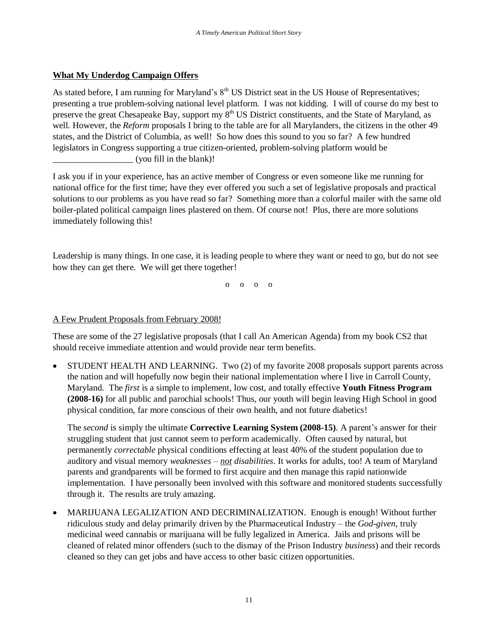# **What My Underdog Campaign Offers**

As stated before, I am running for Maryland's  $8<sup>th</sup>$  US District seat in the US House of Representatives; presenting a true problem-solving national level platform. I was not kidding. I will of course do my best to preserve the great Chesapeake Bay, support my 8<sup>th</sup> US District constituents, and the State of Maryland, as well. However, the *Reform* proposals I bring to the table are for all Marylanders, the citizens in the other 49 states, and the District of Columbia, as well! So how does this sound to you so far? A few hundred legislators in Congress supporting a true citizen-oriented, problem-solving platform would be (you fill in the blank)!

I ask you if in your experience, has an active member of Congress or even someone like me running for national office for the first time; have they ever offered you such a set of legislative proposals and practical solutions to our problems as you have read so far? Something more than a colorful mailer with the same old boiler-plated political campaign lines plastered on them. Of course not! Plus, there are more solutions immediately following this!

Leadership is many things. In one case, it is leading people to where they want or need to go, but do not see how they can get there. We will get there together!

o o o o

# A Few Prudent Proposals from February 2008!

These are some of the 27 legislative proposals (that I call An American Agenda) from my book CS2 that should receive immediate attention and would provide near term benefits.

 STUDENT HEALTH AND LEARNING. Two (2) of my favorite 2008 proposals support parents across the nation and will hopefully now begin their national implementation where I live in Carroll County, Maryland. The *first* is a simple to implement, low cost, and totally effective **Youth Fitness Program (2008-16)** for all public and parochial schools! Thus, our youth will begin leaving High School in good physical condition, far more conscious of their own health, and not future diabetics!

The *second* is simply the ultimate **Corrective Learning System (2008-15)**. A parent's answer for their struggling student that just cannot seem to perform academically. Often caused by natural, but permanently *correctable* physical conditions effecting at least 40% of the student population due to auditory and visual memory *weaknesses – not disabilities*. It works for adults, too! A team of Maryland parents and grandparents will be formed to first acquire and then manage this rapid nationwide implementation. I have personally been involved with this software and monitored students successfully through it. The results are truly amazing.

 MARIJUANA LEGALIZATION AND DECRIMINALIZATION. Enough is enough! Without further ridiculous study and delay primarily driven by the Pharmaceutical Industry – the *God-given*, truly medicinal weed cannabis or marijuana will be fully legalized in America. Jails and prisons will be cleaned of related minor offenders (such to the dismay of the Prison Industry *business*) and their records cleaned so they can get jobs and have access to other basic citizen opportunities.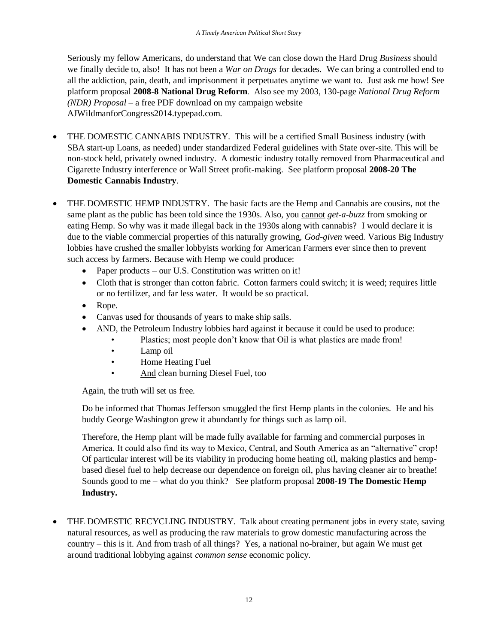Seriously my fellow Americans, do understand that We can close down the Hard Drug *Business* should we finally decide to, also! It has not been a *War on Drugs* for decades. We can bring a controlled end to all the addiction, pain, death, and imprisonment it perpetuates anytime we want to. Just ask me how! See platform proposal **2008-8 National Drug Reform**. Also see my 2003, 130-page *National Drug Reform (NDR) Proposal* – a free PDF download on my campaign website AJWildmanforCongress2014.typepad.com.

- THE DOMESTIC CANNABIS INDUSTRY. This will be a certified Small Business industry (with SBA start-up Loans, as needed) under standardized Federal guidelines with State over-site. This will be non-stock held, privately owned industry. A domestic industry totally removed from Pharmaceutical and Cigarette Industry interference or Wall Street profit-making. See platform proposal **2008-20 The Domestic Cannabis Industry**.
- THE DOMESTIC HEMP INDUSTRY. The basic facts are the Hemp and Cannabis are cousins, not the same plant as the public has been told since the 1930s. Also, you cannot *get-a-buzz* from smoking or eating Hemp. So why was it made illegal back in the 1930s along with cannabis? I would declare it is due to the viable commercial properties of this naturally growing, *God-given* weed. Various Big Industry lobbies have crushed the smaller lobbyists working for American Farmers ever since then to prevent such access by farmers. Because with Hemp we could produce:
	- Paper products our U.S. Constitution was written on it!
	- Cloth that is stronger than cotton fabric. Cotton farmers could switch; it is weed; requires little or no fertilizer, and far less water. It would be so practical.
	- Rope.
	- Canvas used for thousands of years to make ship sails.
	- AND, the Petroleum Industry lobbies hard against it because it could be used to produce:
		- Plastics; most people don't know that Oil is what plastics are made from!
		- Lamp oil
		- Home Heating Fuel
		- And clean burning Diesel Fuel, too

Again, the truth will set us free.

Do be informed that Thomas Jefferson smuggled the first Hemp plants in the colonies. He and his buddy George Washington grew it abundantly for things such as lamp oil.

Therefore, the Hemp plant will be made fully available for farming and commercial purposes in America. It could also find its way to Mexico, Central, and South America as an "alternative" crop! Of particular interest will be its viability in producing home heating oil, making plastics and hempbased diesel fuel to help decrease our dependence on foreign oil, plus having cleaner air to breathe! Sounds good to me – what do you think? See platform proposal **2008-19 The Domestic Hemp Industry.** 

 THE DOMESTIC RECYCLING INDUSTRY. Talk about creating permanent jobs in every state, saving natural resources, as well as producing the raw materials to grow domestic manufacturing across the country – this is it. And from trash of all things? Yes, a national no-brainer, but again We must get around traditional lobbying against *common sense* economic policy.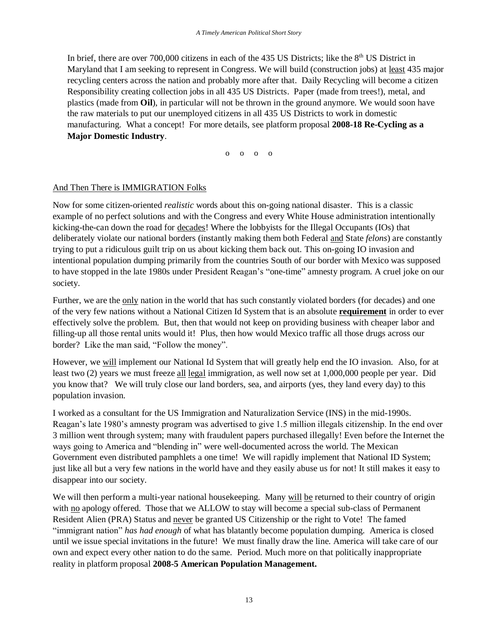In brief, there are over  $700,000$  citizens in each of the 435 US Districts; like the  $8<sup>th</sup>$  US District in Maryland that I am seeking to represent in Congress. We will build (construction jobs) at least 435 major recycling centers across the nation and probably more after that. Daily Recycling will become a citizen Responsibility creating collection jobs in all 435 US Districts. Paper (made from trees!), metal, and plastics (made from **Oil**), in particular will not be thrown in the ground anymore. We would soon have the raw materials to put our unemployed citizens in all 435 US Districts to work in domestic manufacturing. What a concept! For more details, see platform proposal **2008-18 Re-Cycling as a Major Domestic Industry**.

o o o o

# And Then There is IMMIGRATION Folks

Now for some citizen-oriented *realistic* words about this on-going national disaster. This is a classic example of no perfect solutions and with the Congress and every White House administration intentionally kicking-the-can down the road for decades! Where the lobbyists for the Illegal Occupants (IOs) that deliberately violate our national borders (instantly making them both Federal and State *felons*) are constantly trying to put a ridiculous guilt trip on us about kicking them back out. This on-going IO invasion and intentional population dumping primarily from the countries South of our border with Mexico was supposed to have stopped in the late 1980s under President Reagan's "one-time" amnesty program. A cruel joke on our society.

Further, we are the only nation in the world that has such constantly violated borders (for decades) and one of the very few nations without a National Citizen Id System that is an absolute **requirement** in order to ever effectively solve the problem. But, then that would not keep on providing business with cheaper labor and filling-up all those rental units would it! Plus, then how would Mexico traffic all those drugs across our border? Like the man said, "Follow the money".

However, we will implement our National Id System that will greatly help end the IO invasion. Also, for at least two (2) years we must freeze all legal immigration, as well now set at 1,000,000 people per year. Did you know that? We will truly close our land borders, sea, and airports (yes, they land every day) to this population invasion.

I worked as a consultant for the US Immigration and Naturalization Service (INS) in the mid-1990s. Reagan's late 1980's amnesty program was advertised to give 1.5 million illegals citizenship. In the end over 3 million went through system; many with fraudulent papers purchased illegally! Even before the Internet the ways going to America and "blending in" were well-documented across the world. The Mexican Government even distributed pamphlets a one time! We will rapidly implement that National ID System; just like all but a very few nations in the world have and they easily abuse us for not! It still makes it easy to disappear into our society.

We will then perform a multi-year national house keeping. Many will be returned to their country of origin with no apology offered. Those that we ALLOW to stay will become a special sub-class of Permanent Resident Alien (PRA) Status and never be granted US Citizenship or the right to Vote! The famed "immigrant nation" *has had enough* of what has blatantly become population dumping. America is closed until we issue special invitations in the future! We must finally draw the line. America will take care of our own and expect every other nation to do the same. Period. Much more on that politically inappropriate reality in platform proposal **2008-5 American Population Management.**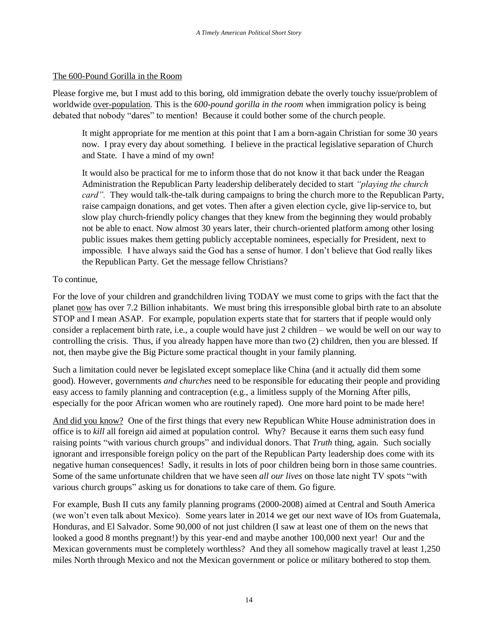#### The 600-Pound Gorilla in the Room

Please forgive me, but I must add to this boring, old immigration debate the overly touchy issue/problem of worldwide over-population. This is the *600-pound gorilla in the room* when immigration policy is being debated that nobody "dares" to mention! Because it could bother some of the church people.

It might appropriate for me mention at this point that I am a born-again Christian for some 30 years now. I pray every day about something. I believe in the practical legislative separation of Church and State. I have a mind of my own!

It would also be practical for me to inform those that do not know it that back under the Reagan Administration the Republican Party leadership deliberately decided to start *"playing the church card".* They would talk-the-talk during campaigns to bring the church more to the Republican Party, raise campaign donations, and get votes. Then after a given election cycle, give lip-service to, but slow play church-friendly policy changes that they knew from the beginning they would probably not be able to enact. Now almost 30 years later, their church-oriented platform among other losing public issues makes them getting publicly acceptable nominees, especially for President, next to impossible. I have always said the God has a sense of humor. I don't believe that God really likes the Republican Party. Get the message fellow Christians?

#### To continue,

For the love of your children and grandchildren living TODAY we must come to grips with the fact that the planet now has over 7.2 Billion inhabitants. We must bring this irresponsible global birth rate to an absolute STOP and I mean ASAP. For example, population experts state that for starters that if people would only consider a replacement birth rate, i.e., a couple would have just 2 children – we would be well on our way to controlling the crisis. Thus, if you already happen have more than two (2) children, then you are blessed. If not, then maybe give the Big Picture some practical thought in your family planning.

Such a limitation could never be legislated except someplace like China (and it actually did them some good). However, governments *and churches* need to be responsible for educating their people and providing easy access to family planning and contraception (e.g., a limitless supply of the Morning After pills, especially for the poor African women who are routinely raped). One more hard point to be made here!

And did you know? One of the first things that every new Republican White House administration does in office is to *kill* all foreign aid aimed at population control. Why? Because it earns them such easy fund raising points "with various church groups" and individual donors. That *Truth* thing, again. Such socially ignorant and irresponsible foreign policy on the part of the Republican Party leadership does come with its negative human consequences! Sadly, it results in lots of poor children being born in those same countries. Some of the same unfortunate children that we have seen *all our lives* on those late night TV spots "with various church groups" asking us for donations to take care of them. Go figure.

For example, Bush II cuts any family planning programs (2000-2008) aimed at Central and South America (we won't even talk about Mexico). Some years later in 2014 we get our next wave of IOs from Guatemala, Honduras, and El Salvador. Some 90,000 of not just children (I saw at least one of them on the news that looked a good 8 months pregnant!) by this year-end and maybe another 100,000 next year! Our and the Mexican governments must be completely worthless? And they all somehow magically travel at least 1,250 miles North through Mexico and not the Mexican government or police or military bothered to stop them.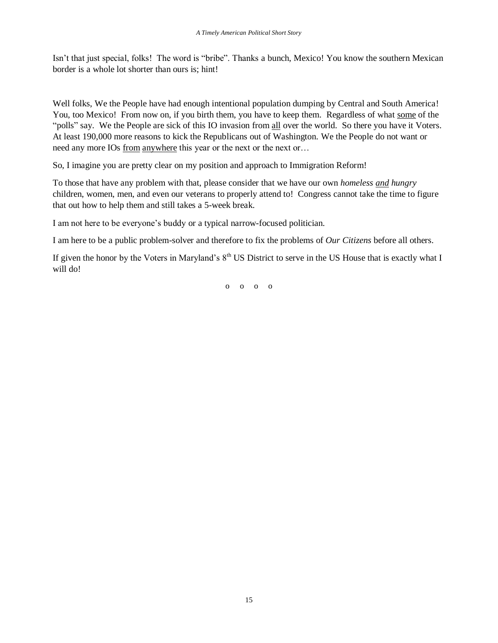Isn't that just special, folks! The word is "bribe". Thanks a bunch, Mexico! You know the southern Mexican border is a whole lot shorter than ours is; hint!

Well folks, We the People have had enough intentional population dumping by Central and South America! You, too Mexico! From now on, if you birth them, you have to keep them. Regardless of what some of the "polls" say. We the People are sick of this IO invasion from all over the world. So there you have it Voters. At least 190,000 more reasons to kick the Republicans out of Washington. We the People do not want or need any more IOs from anywhere this year or the next or the next or ...

So, I imagine you are pretty clear on my position and approach to Immigration Reform!

To those that have any problem with that, please consider that we have our own *homeless and hungry* children, women, men, and even our veterans to properly attend to! Congress cannot take the time to figure that out how to help them and still takes a 5-week break.

I am not here to be everyone's buddy or a typical narrow-focused politician.

I am here to be a public problem-solver and therefore to fix the problems of *Our Citizens* before all others.

If given the honor by the Voters in Maryland's  $8<sup>th</sup>$  US District to serve in the US House that is exactly what I will do!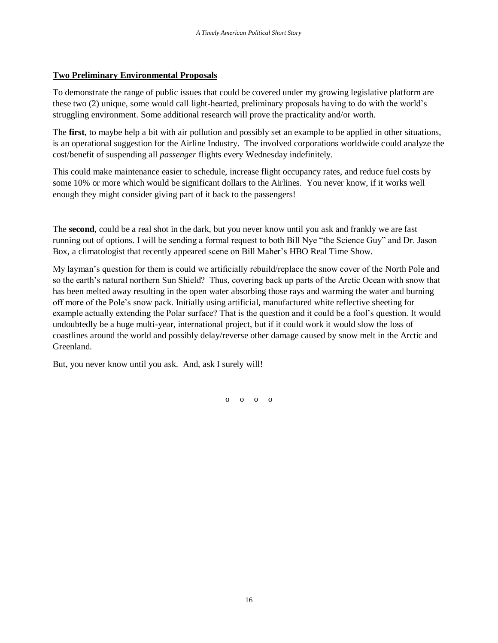#### **Two Preliminary Environmental Proposals**

To demonstrate the range of public issues that could be covered under my growing legislative platform are these two (2) unique, some would call light-hearted, preliminary proposals having to do with the world's struggling environment. Some additional research will prove the practicality and/or worth.

The **first**, to maybe help a bit with air pollution and possibly set an example to be applied in other situations, is an operational suggestion for the Airline Industry. The involved corporations worldwide could analyze the cost/benefit of suspending all *passenger* flights every Wednesday indefinitely.

This could make maintenance easier to schedule, increase flight occupancy rates, and reduce fuel costs by some 10% or more which would be significant dollars to the Airlines. You never know, if it works well enough they might consider giving part of it back to the passengers!

The **second**, could be a real shot in the dark, but you never know until you ask and frankly we are fast running out of options. I will be sending a formal request to both Bill Nye "the Science Guy" and Dr. Jason Box, a climatologist that recently appeared scene on Bill Maher's HBO Real Time Show.

My layman's question for them is could we artificially rebuild/replace the snow cover of the North Pole and so the earth's natural northern Sun Shield? Thus, covering back up parts of the Arctic Ocean with snow that has been melted away resulting in the open water absorbing those rays and warming the water and burning off more of the Pole's snow pack. Initially using artificial, manufactured white reflective sheeting for example actually extending the Polar surface? That is the question and it could be a fool's question. It would undoubtedly be a huge multi-year, international project, but if it could work it would slow the loss of coastlines around the world and possibly delay/reverse other damage caused by snow melt in the Arctic and Greenland.

But, you never know until you ask. And, ask I surely will!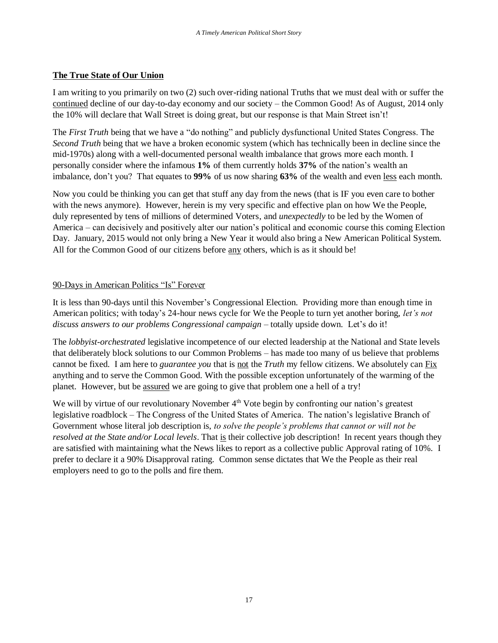## **The True State of Our Union**

I am writing to you primarily on two (2) such over-riding national Truths that we must deal with or suffer the continued decline of our day-to-day economy and our society – the Common Good! As of August, 2014 only the 10% will declare that Wall Street is doing great, but our response is that Main Street isn't!

The *First Truth* being that we have a "do nothing" and publicly dysfunctional United States Congress. The *Second Truth* being that we have a broken economic system (which has technically been in decline since the mid-1970s) along with a well-documented personal wealth imbalance that grows more each month. I personally consider where the infamous **1%** of them currently holds **37%** of the nation's wealth an imbalance, don't you? That equates to **99%** of us now sharing **63%** of the wealth and even less each month.

Now you could be thinking you can get that stuff any day from the news (that is IF you even care to bother with the news anymore). However, herein is my very specific and effective plan on how We the People, duly represented by tens of millions of determined Voters, and *unexpectedly* to be led by the Women of America – can decisively and positively alter our nation's political and economic course this coming Election Day. January, 2015 would not only bring a New Year it would also bring a New American Political System. All for the Common Good of our citizens before any others, which is as it should be!

## 90-Days in American Politics "Is" Forever

It is less than 90-days until this November's Congressional Election. Providing more than enough time in American politics; with today's 24-hour news cycle for We the People to turn yet another boring, *let's not discuss answers to our problems Congressional campaign* – totally upside down. Let's do it!

The *lobbyist-orchestrated* legislative incompetence of our elected leadership at the National and State levels that deliberately block solutions to our Common Problems – has made too many of us believe that problems cannot be fixed. I am here to *guarantee you* that is not the *Truth* my fellow citizens. We absolutely can Fix anything and to serve the Common Good. With the possible exception unfortunately of the warming of the planet. However, but be assured we are going to give that problem one a hell of a try!

We will by virtue of our revolutionary November  $4<sup>th</sup>$  Vote begin by confronting our nation's greatest legislative roadblock – The Congress of the United States of America. The nation's legislative Branch of Government whose literal job description is, *to solve the people's problems that cannot or will not be resolved at the State and/or Local levels*. That is their collective job description! In recent years though they are satisfied with maintaining what the News likes to report as a collective public Approval rating of 10%. I prefer to declare it a 90% Disapproval rating. Common sense dictates that We the People as their real employers need to go to the polls and fire them.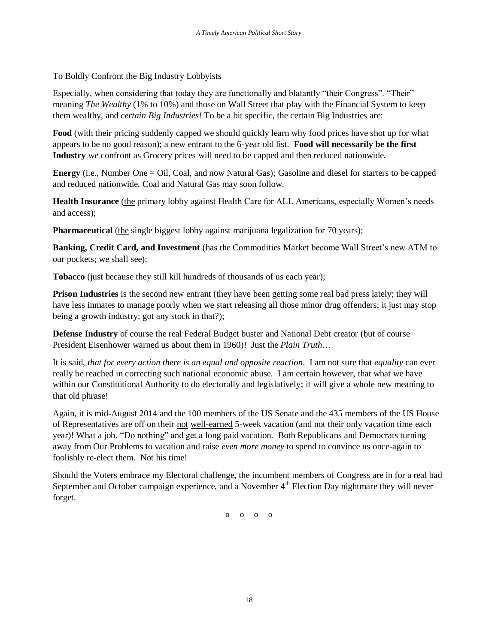# To Boldly Confront the Big Industry Lobbyists

Especially, when considering that today they are functionally and blatantly "their Congress". "Their" meaning *The Wealthy* (1% to 10%) and those on Wall Street that play with the Financial System to keep them wealthy, and *certain Big Industries!* To be a bit specific, the certain Big Industries are:

**Food** (with their pricing suddenly capped we should quickly learn why food prices have shot up for what appears to be no good reason); a new entrant to the 6-year old list. **Food will necessarily be the first Industry** we confront as Grocery prices will need to be capped and then reduced nationwide.

**Energy** (i.e., Number One = Oil, Coal, and now Natural Gas); Gasoline and diesel for starters to be capped and reduced nationwide. Coal and Natural Gas may soon follow.

**Health Insurance** (the primary lobby against Health Care for ALL Americans, especially Women's needs and access);

**Pharmaceutical** (the single biggest lobby against marijuana legalization for 70 years);

**Banking, Credit Card, and Investment** (has the Commodities Market become Wall Street's new ATM to our pockets; we shall see);

**Tobacco** (just because they still kill hundreds of thousands of us each year);

**Prison Industries** is the second new entrant (they have been getting some real bad press lately; they will have less inmates to manage poorly when we start releasing all those minor drug offenders; it just may stop being a growth industry; got any stock in that?);

**Defense Industry** of course the real Federal Budget buster and National Debt creator (but of course President Eisenhower warned us about them in 1960)! Just the *Plain Truth*…

It is said, *that for every action there is an equal and opposite reaction*. I am not sure that *equality* can ever really be reached in correcting such national economic abuse. I am certain however, that what we have within our Constitutional Authority to do electorally and legislatively; it will give a whole new meaning to that old phrase!

Again, it is mid-August 2014 and the 100 members of the US Senate and the 435 members of the US House of Representatives are off on their not well-earned 5-week vacation (and not their only vacation time each year)! What a job. "Do nothing" and get a long paid vacation. Both Republicans and Democrats turning away from Our Problems to vacation and raise *even more money* to spend to convince us once-again to foolishly re-elect them. Not his time!

Should the Voters embrace my Electoral challenge, the incumbent members of Congress are in for a real bad September and October campaign experience, and a November 4<sup>th</sup> Election Day nightmare they will never forget.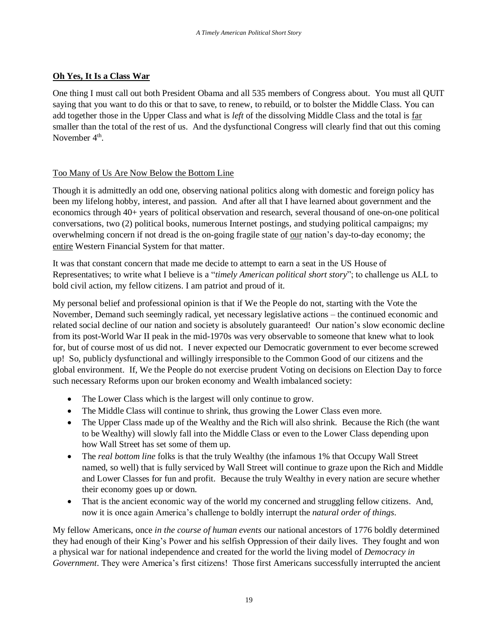# **Oh Yes, It Is a Class War**

One thing I must call out both President Obama and all 535 members of Congress about. You must all QUIT saying that you want to do this or that to save, to renew, to rebuild, or to bolster the Middle Class. You can add together those in the Upper Class and what is *left* of the dissolving Middle Class and the total is far smaller than the total of the rest of us. And the dysfunctional Congress will clearly find that out this coming November  $4<sup>th</sup>$ .

# Too Many of Us Are Now Below the Bottom Line

Though it is admittedly an odd one, observing national politics along with domestic and foreign policy has been my lifelong hobby, interest, and passion. And after all that I have learned about government and the economics through 40+ years of political observation and research, several thousand of one-on-one political conversations, two (2) political books, numerous Internet postings, and studying political campaigns; my overwhelming concern if not dread is the on-going fragile state of our nation's day-to-day economy; the entire Western Financial System for that matter.

It was that constant concern that made me decide to attempt to earn a seat in the US House of Representatives; to write what I believe is a "*timely American political short story*"; to challenge us ALL to bold civil action, my fellow citizens. I am patriot and proud of it.

My personal belief and professional opinion is that if We the People do not, starting with the Vote the November, Demand such seemingly radical, yet necessary legislative actions – the continued economic and related social decline of our nation and society is absolutely guaranteed! Our nation's slow economic decline from its post-World War II peak in the mid-1970s was very observable to someone that knew what to look for, but of course most of us did not. I never expected our Democratic government to ever become screwed up! So, publicly dysfunctional and willingly irresponsible to the Common Good of our citizens and the global environment. If, We the People do not exercise prudent Voting on decisions on Election Day to force such necessary Reforms upon our broken economy and Wealth imbalanced society:

- The Lower Class which is the largest will only continue to grow.
- The Middle Class will continue to shrink, thus growing the Lower Class even more.
- The Upper Class made up of the Wealthy and the Rich will also shrink. Because the Rich (the want to be Wealthy) will slowly fall into the Middle Class or even to the Lower Class depending upon how Wall Street has set some of them up.
- The *real bottom line* folks is that the truly Wealthy (the infamous 1% that Occupy Wall Street named, so well) that is fully serviced by Wall Street will continue to graze upon the Rich and Middle and Lower Classes for fun and profit. Because the truly Wealthy in every nation are secure whether their economy goes up or down.
- That is the ancient economic way of the world my concerned and struggling fellow citizens. And, now it is once again America's challenge to boldly interrupt the *natural order of things*.

My fellow Americans, once *in the course of human events* our national ancestors of 1776 boldly determined they had enough of their King's Power and his selfish Oppression of their daily lives. They fought and won a physical war for national independence and created for the world the living model of *Democracy in Government*. They were America's first citizens! Those first Americans successfully interrupted the ancient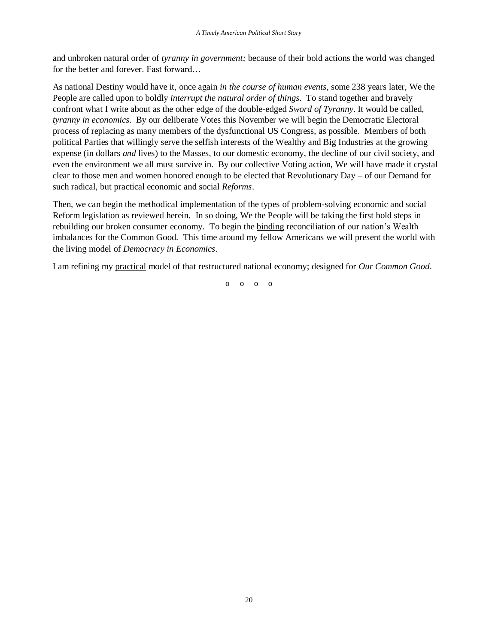and unbroken natural order of *tyranny in government;* because of their bold actions the world was changed for the better and forever. Fast forward…

As national Destiny would have it, once again *in the course of human events,* some 238 years later, We the People are called upon to boldly *interrupt the natural order of things*. To stand together and bravely confront what I write about as the other edge of the double-edged *Sword of Tyranny*. It would be called, *tyranny in economics*. By our deliberate Votes this November we will begin the Democratic Electoral process of replacing as many members of the dysfunctional US Congress, as possible. Members of both political Parties that willingly serve the selfish interests of the Wealthy and Big Industries at the growing expense (in dollars *and* lives) to the Masses, to our domestic economy, the decline of our civil society, and even the environment we all must survive in. By our collective Voting action, We will have made it crystal clear to those men and women honored enough to be elected that Revolutionary Day – of our Demand for such radical, but practical economic and social *Reforms*.

Then, we can begin the methodical implementation of the types of problem-solving economic and social Reform legislation as reviewed herein. In so doing, We the People will be taking the first bold steps in rebuilding our broken consumer economy. To begin the binding reconciliation of our nation's Wealth imbalances for the Common Good. This time around my fellow Americans we will present the world with the living model of *Democracy in Economics*.

I am refining my practical model of that restructured national economy; designed for *Our Common Good*.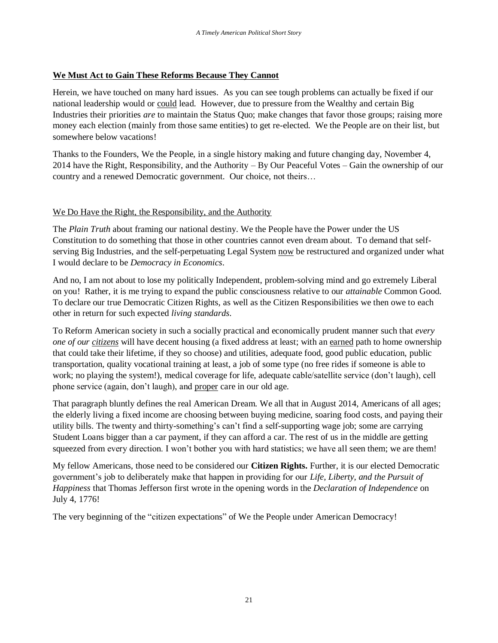### **We Must Act to Gain These Reforms Because They Cannot**

Herein, we have touched on many hard issues. As you can see tough problems can actually be fixed if our national leadership would or could lead. However, due to pressure from the Wealthy and certain Big Industries their priorities *are* to maintain the Status Quo; make changes that favor those groups; raising more money each election (mainly from those same entities) to get re-elected. We the People are on their list, but somewhere below vacations!

Thanks to the Founders, We the People, in a single history making and future changing day, November 4, 2014 have the Right, Responsibility, and the Authority – By Our Peaceful Votes – Gain the ownership of our country and a renewed Democratic government. Our choice, not theirs…

## We Do Have the Right, the Responsibility, and the Authority

The *Plain Truth* about framing our national destiny. We the People have the Power under the US Constitution to do something that those in other countries cannot even dream about. To demand that selfserving Big Industries, and the self-perpetuating Legal System now be restructured and organized under what I would declare to be *Democracy in Economics*.

And no, I am not about to lose my politically Independent, problem-solving mind and go extremely Liberal on you! Rather, it is me trying to expand the public consciousness relative to our *attainable* Common Good. To declare our true Democratic Citizen Rights, as well as the Citizen Responsibilities we then owe to each other in return for such expected *living standards*.

To Reform American society in such a socially practical and economically prudent manner such that *every one of our citizens* will have decent housing (a fixed address at least; with an earned path to home ownership that could take their lifetime, if they so choose) and utilities, adequate food, good public education, public transportation, quality vocational training at least, a job of some type (no free rides if someone is able to work; no playing the system!), medical coverage for life, adequate cable/satellite service (don't laugh), cell phone service (again, don't laugh), and proper care in our old age.

That paragraph bluntly defines the real American Dream. We all that in August 2014, Americans of all ages; the elderly living a fixed income are choosing between buying medicine, soaring food costs, and paying their utility bills. The twenty and thirty-something's can't find a self-supporting wage job; some are carrying Student Loans bigger than a car payment, if they can afford a car. The rest of us in the middle are getting squeezed from every direction. I won't bother you with hard statistics; we have all seen them; we are them!

My fellow Americans, those need to be considered our **Citizen Rights.** Further, it is our elected Democratic government's job to deliberately make that happen in providing for our *Life, Liberty, and the Pursuit of Happiness* that Thomas Jefferson first wrote in the opening words in the *Declaration of Independence* on July 4, 1776!

The very beginning of the "citizen expectations" of We the People under American Democracy!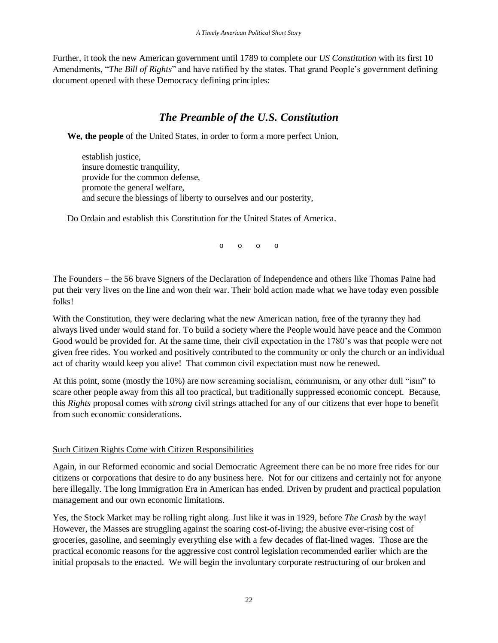Further, it took the new American government until 1789 to complete our *US Constitution* with its first 10 Amendments, "*The Bill of Rights*" and have ratified by the states. That grand People's government defining document opened with these Democracy defining principles:

# *The Preamble of the U.S. Constitution*

**We, the people** of the United States, in order to form a more perfect Union,

establish justice, insure domestic tranquility, provide for the common defense, promote the general welfare, and secure the blessings of liberty to ourselves and our posterity,

Do Ordain and establish this Constitution for the United States of America.

 $\begin{matrix} 0 & 0 & 0 \end{matrix}$ 

The Founders – the 56 brave Signers of the Declaration of Independence and others like Thomas Paine had put their very lives on the line and won their war. Their bold action made what we have today even possible folks!

With the Constitution, they were declaring what the new American nation, free of the tyranny they had always lived under would stand for. To build a society where the People would have peace and the Common Good would be provided for. At the same time, their civil expectation in the 1780's was that people were not given free rides. You worked and positively contributed to the community or only the church or an individual act of charity would keep you alive! That common civil expectation must now be renewed.

At this point, some (mostly the 10%) are now screaming socialism, communism, or any other dull "ism" to scare other people away from this all too practical, but traditionally suppressed economic concept. Because, this *Rights* proposal comes with *strong* civil strings attached for any of our citizens that ever hope to benefit from such economic considerations.

## Such Citizen Rights Come with Citizen Responsibilities

Again, in our Reformed economic and social Democratic Agreement there can be no more free rides for our citizens or corporations that desire to do any business here. Not for our citizens and certainly not for anyone here illegally. The long Immigration Era in American has ended. Driven by prudent and practical population management and our own economic limitations.

Yes, the Stock Market may be rolling right along. Just like it was in 1929, before *The Crash* by the way! However, the Masses are struggling against the soaring cost-of-living; the abusive ever-rising cost of groceries, gasoline, and seemingly everything else with a few decades of flat-lined wages. Those are the practical economic reasons for the aggressive cost control legislation recommended earlier which are the initial proposals to the enacted. We will begin the involuntary corporate restructuring of our broken and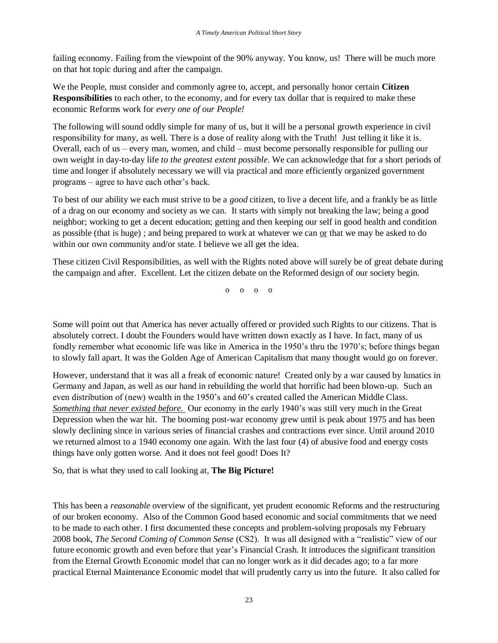failing economy. Failing from the viewpoint of the 90% anyway. You know, us! There will be much more on that hot topic during and after the campaign.

We the People, must consider and commonly agree to, accept, and personally honor certain **Citizen Responsibilities** to each other, to the economy, and for every tax dollar that is required to make these economic Reforms work for *every one of our People!*

The following will sound oddly simple for many of us, but it will be a personal growth experience in civil responsibility for many, as well. There is a dose of reality along with the Truth! Just telling it like it is. Overall, each of us – every man, women, and child – must become personally responsible for pulling our own weight in day-to-day life *to the greatest extent possible*. We can acknowledge that for a short periods of time and longer if absolutely necessary we will via practical and more efficiently organized government programs – agree to have each other's back.

To best of our ability we each must strive to be a *good* citizen, to live a decent life, and a frankly be as little of a drag on our economy and society as we can. It starts with simply not breaking the law; being a good neighbor; working to get a decent education; getting and then keeping our self in good health and condition as possible (that is huge) ; and being prepared to work at whatever we can or that we may be asked to do within our own community and/or state. I believe we all get the idea.

These citizen Civil Responsibilities, as well with the Rights noted above will surely be of great debate during the campaign and after. Excellent. Let the citizen debate on the Reformed design of our society begin.

o o o o

Some will point out that America has never actually offered or provided such Rights to our citizens. That is absolutely correct. I doubt the Founders would have written down exactly as I have. In fact, many of us fondly remember what economic life was like in America in the 1950's thru the 1970's; before things began to slowly fall apart. It was the Golden Age of American Capitalism that many thought would go on forever.

However, understand that it was all a freak of economic nature! Created only by a war caused by lunatics in Germany and Japan, as well as our hand in rebuilding the world that horrific had been blown-up. Such an even distribution of (new) wealth in the 1950's and 60's created called the American Middle Class. *Something that never existed before.* Our economy in the early 1940's was still very much in the Great Depression when the war hit. The booming post-war economy grew until is peak about 1975 and has been slowly declining since in various series of financial crashes and contractions ever since. Until around 2010 we returned almost to a 1940 economy one again. With the last four (4) of abusive food and energy costs things have only gotten worse. And it does not feel good! Does It?

So, that is what they used to call looking at, **The Big Picture!**

This has been a *reasonable* overview of the significant, yet prudent economic Reforms and the restructuring of our broken economy. Also of the Common Good based economic and social commitments that we need to be made to each other. I first documented these concepts and problem-solving proposals my February 2008 book, *The Second Coming of Common Sense* (CS2). It was all designed with a "realistic" view of our future economic growth and even before that year's Financial Crash. It introduces the significant transition from the Eternal Growth Economic model that can no longer work as it did decades ago; to a far more practical Eternal Maintenance Economic model that will prudently carry us into the future. It also called for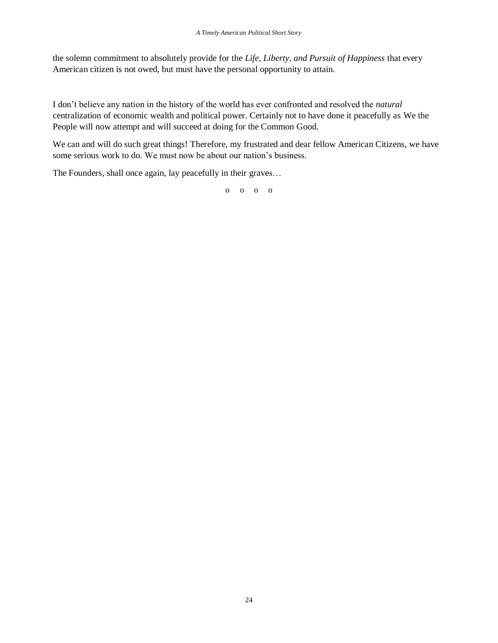the solemn commitment to absolutely provide for the *Life, Liberty, and Pursuit of Happiness* that every American citizen is not owed, but must have the personal opportunity to attain.

I don't believe any nation in the history of the world has ever confronted and resolved the *natural* centralization of economic wealth and political power. Certainly not to have done it peacefully as We the People will now attempt and will succeed at doing for the Common Good.

We can and will do such great things! Therefore, my frustrated and dear fellow American Citizens, we have some serious work to do. We must now be about our nation's business.

The Founders, shall once again, lay peacefully in their graves…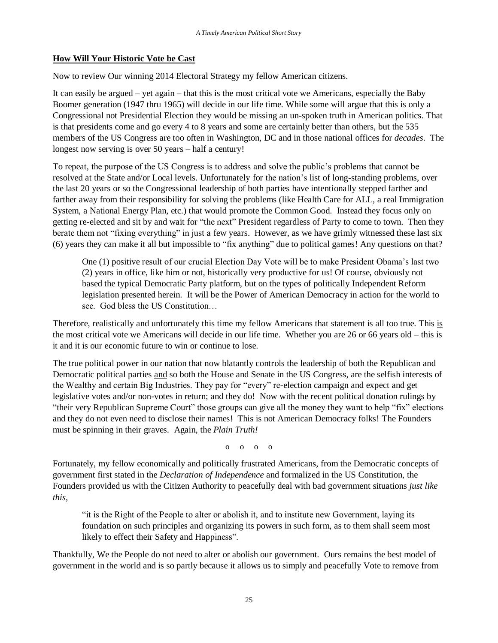# **How Will Your Historic Vote be Cast**

Now to review Our winning 2014 Electoral Strategy my fellow American citizens.

It can easily be argued – yet again – that this is the most critical vote we Americans, especially the Baby Boomer generation (1947 thru 1965) will decide in our life time. While some will argue that this is only a Congressional not Presidential Election they would be missing an un-spoken truth in American politics. That is that presidents come and go every 4 to 8 years and some are certainly better than others, but the 535 members of the US Congress are too often in Washington, DC and in those national offices for *decades*. The longest now serving is over 50 years – half a century!

To repeat, the purpose of the US Congress is to address and solve the public's problems that cannot be resolved at the State and/or Local levels. Unfortunately for the nation's list of long-standing problems, over the last 20 years or so the Congressional leadership of both parties have intentionally stepped farther and farther away from their responsibility for solving the problems (like Health Care for ALL, a real Immigration System, a National Energy Plan, etc.) that would promote the Common Good. Instead they focus only on getting re-elected and sit by and wait for "the next" President regardless of Party to come to town. Then they berate them not "fixing everything" in just a few years. However, as we have grimly witnessed these last six (6) years they can make it all but impossible to "fix anything" due to political games! Any questions on that?

One (1) positive result of our crucial Election Day Vote will be to make President Obama's last two (2) years in office, like him or not, historically very productive for us! Of course, obviously not based the typical Democratic Party platform, but on the types of politically Independent Reform legislation presented herein. It will be the Power of American Democracy in action for the world to see. God bless the US Constitution…

Therefore, realistically and unfortunately this time my fellow Americans that statement is all too true. This is the most critical vote we Americans will decide in our life time. Whether you are 26 or 66 years old – this is it and it is our economic future to win or continue to lose.

The true political power in our nation that now blatantly controls the leadership of both the Republican and Democratic political parties and so both the House and Senate in the US Congress, are the selfish interests of the Wealthy and certain Big Industries. They pay for "every" re-election campaign and expect and get legislative votes and/or non-votes in return; and they do! Now with the recent political donation rulings by "their very Republican Supreme Court" those groups can give all the money they want to help "fix" elections and they do not even need to disclose their names! This is not American Democracy folks! The Founders must be spinning in their graves. Again, the *Plain Truth!*

 $0 \quad 0 \quad 0$ 

Fortunately, my fellow economically and politically frustrated Americans, from the Democratic concepts of government first stated in the *Declaration of Independence* and formalized in the US Constitution, the Founders provided us with the Citizen Authority to peacefully deal with bad government situations *just like this*,

"it is the Right of the People to alter or abolish it, and to institute new Government, laying its foundation on such principles and organizing its powers in such form, as to them shall seem most likely to effect their Safety and Happiness".

Thankfully, We the People do not need to alter or abolish our government. Ours remains the best model of government in the world and is so partly because it allows us to simply and peacefully Vote to remove from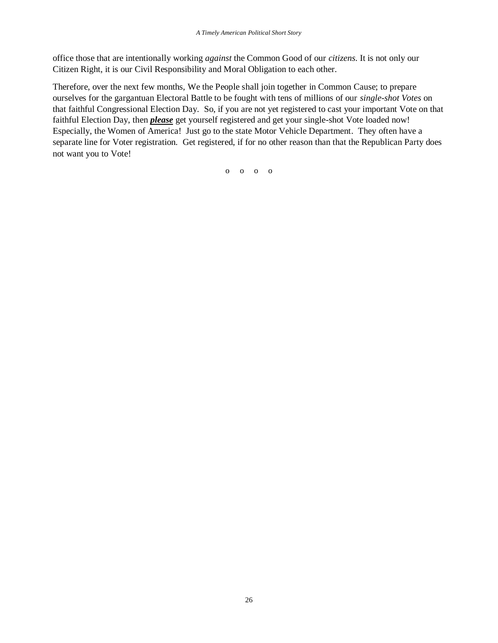office those that are intentionally working *against* the Common Good of our *citizens*. It is not only our Citizen Right, it is our Civil Responsibility and Moral Obligation to each other.

Therefore, over the next few months, We the People shall join together in Common Cause; to prepare ourselves for the gargantuan Electoral Battle to be fought with tens of millions of our *single-shot Votes* on that faithful Congressional Election Day. So, if you are not yet registered to cast your important Vote on that faithful Election Day, then *please* get yourself registered and get your single-shot Vote loaded now! Especially, the Women of America! Just go to the state Motor Vehicle Department. They often have a separate line for Voter registration. Get registered, if for no other reason than that the Republican Party does not want you to Vote!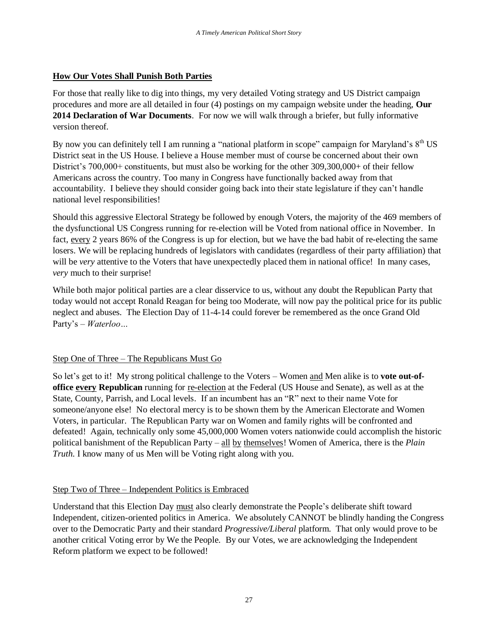# **How Our Votes Shall Punish Both Parties**

For those that really like to dig into things, my very detailed Voting strategy and US District campaign procedures and more are all detailed in four (4) postings on my campaign website under the heading, **Our 2014 Declaration of War Documents**. For now we will walk through a briefer, but fully informative version thereof.

By now you can definitely tell I am running a "national platform in scope" campaign for Maryland's  $8<sup>th</sup> US$ District seat in the US House. I believe a House member must of course be concerned about their own District's 700,000+ constituents, but must also be working for the other 309,300,000+ of their fellow Americans across the country. Too many in Congress have functionally backed away from that accountability. I believe they should consider going back into their state legislature if they can't handle national level responsibilities!

Should this aggressive Electoral Strategy be followed by enough Voters, the majority of the 469 members of the dysfunctional US Congress running for re-election will be Voted from national office in November. In fact, every 2 years 86% of the Congress is up for election, but we have the bad habit of re-electing the same losers. We will be replacing hundreds of legislators with candidates (regardless of their party affiliation) that will be *very* attentive to the Voters that have unexpectedly placed them in national office! In many cases, *very* much to their surprise!

While both major political parties are a clear disservice to us, without any doubt the Republican Party that today would not accept Ronald Reagan for being too Moderate, will now pay the political price for its public neglect and abuses. The Election Day of 11-4-14 could forever be remembered as the once Grand Old Party's – *Waterloo…*

# Step One of Three – The Republicans Must Go

So let's get to it! My strong political challenge to the Voters – Women and Men alike is to **vote out-ofoffice every Republican** running for re-election at the Federal (US House and Senate), as well as at the State, County, Parrish, and Local levels. If an incumbent has an "R" next to their name Vote for someone/anyone else! No electoral mercy is to be shown them by the American Electorate and Women Voters, in particular. The Republican Party war on Women and family rights will be confronted and defeated! Again, technically only some 45,000,000 Women voters nationwide could accomplish the historic political banishment of the Republican Party – all by themselves! Women of America, there is the *Plain Truth*. I know many of us Men will be Voting right along with you.

# Step Two of Three – Independent Politics is Embraced

Understand that this Election Day must also clearly demonstrate the People's deliberate shift toward Independent, citizen-oriented politics in America. We absolutely CANNOT be blindly handing the Congress over to the Democratic Party and their standard *Progressive/Liberal* platform. That only would prove to be another critical Voting error by We the People. By our Votes, we are acknowledging the Independent Reform platform we expect to be followed!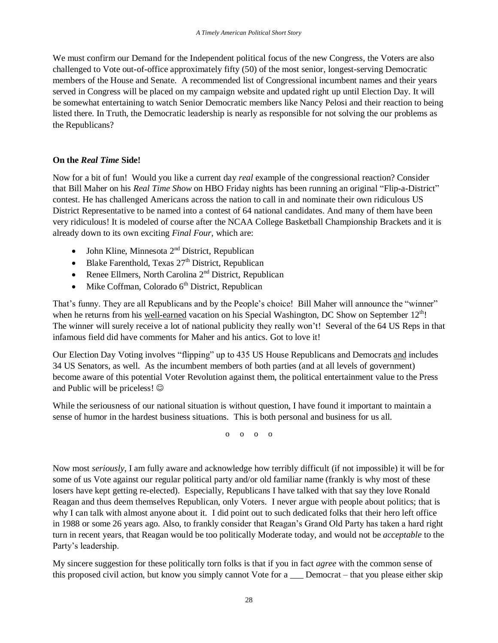We must confirm our Demand for the Independent political focus of the new Congress, the Voters are also challenged to Vote out-of-office approximately fifty (50) of the most senior, longest-serving Democratic members of the House and Senate. A recommended list of Congressional incumbent names and their years served in Congress will be placed on my campaign website and updated right up until Election Day. It will be somewhat entertaining to watch Senior Democratic members like Nancy Pelosi and their reaction to being listed there. In Truth, the Democratic leadership is nearly as responsible for not solving the our problems as the Republicans?

# **On the** *Real Time* **Side!**

Now for a bit of fun! Would you like a current day *real* example of the congressional reaction? Consider that Bill Maher on his *Real Time Show* on HBO Friday nights has been running an original "Flip-a-District" contest. He has challenged Americans across the nation to call in and nominate their own ridiculous US District Representative to be named into a contest of 64 national candidates. And many of them have been very ridiculous! It is modeled of course after the NCAA College Basketball Championship Brackets and it is already down to its own exciting *Final Four*, which are:

- John Kline, Minnesota  $2<sup>nd</sup>$  District, Republican
- $\bullet$  Blake Farenthold, Texas 27<sup>th</sup> District, Republican
- Renee Ellmers, North Carolina  $2<sup>nd</sup>$  District, Republican
- $\bullet$  Mike Coffman, Colorado 6<sup>th</sup> District, Republican

That's funny. They are all Republicans and by the People's choice! Bill Maher will announce the "winner" when he returns from his well-earned vacation on his Special Washington, DC Show on September  $12<sup>th</sup>$ ! The winner will surely receive a lot of national publicity they really won't! Several of the 64 US Reps in that infamous field did have comments for Maher and his antics. Got to love it!

Our Election Day Voting involves "flipping" up to 435 US House Republicans and Democrats and includes 34 US Senators, as well. As the incumbent members of both parties (and at all levels of government) become aware of this potential Voter Revolution against them, the political entertainment value to the Press and Public will be priceless!

While the seriousness of our national situation is without question, I have found it important to maintain a sense of humor in the hardest business situations. This is both personal and business for us all.

o o o o

Now most *seriously*, I am fully aware and acknowledge how terribly difficult (if not impossible) it will be for some of us Vote against our regular political party and/or old familiar name (frankly is why most of these losers have kept getting re-elected). Especially, Republicans I have talked with that say they love Ronald Reagan and thus deem themselves Republican, only Voters. I never argue with people about politics; that is why I can talk with almost anyone about it. I did point out to such dedicated folks that their hero left office in 1988 or some 26 years ago. Also, to frankly consider that Reagan's Grand Old Party has taken a hard right turn in recent years, that Reagan would be too politically Moderate today, and would not be *acceptable* to the Party's leadership.

My sincere suggestion for these politically torn folks is that if you in fact *agree* with the common sense of this proposed civil action, but know you simply cannot Vote for a \_\_\_ Democrat – that you please either skip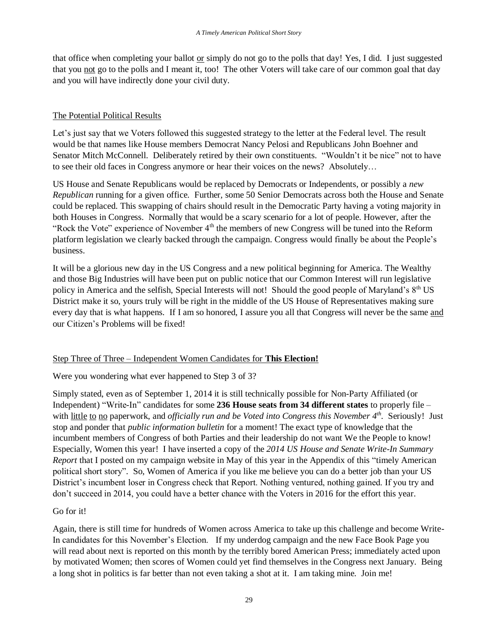that office when completing your ballot or simply do not go to the polls that day! Yes, I did. I just suggested that you not go to the polls and I meant it, too! The other Voters will take care of our common goal that day and you will have indirectly done your civil duty.

# The Potential Political Results

Let's just say that we Voters followed this suggested strategy to the letter at the Federal level. The result would be that names like House members Democrat Nancy Pelosi and Republicans John Boehner and Senator Mitch McConnell. Deliberately retired by their own constituents. "Wouldn't it be nice" not to have to see their old faces in Congress anymore or hear their voices on the news? Absolutely…

US House and Senate Republicans would be replaced by Democrats or Independents, or possibly a *new Republican* running for a given office. Further, some 50 Senior Democrats across both the House and Senate could be replaced. This swapping of chairs should result in the Democratic Party having a voting majority in both Houses in Congress. Normally that would be a scary scenario for a lot of people. However, after the "Rock the Vote" experience of November  $4<sup>th</sup>$  the members of new Congress will be tuned into the Reform platform legislation we clearly backed through the campaign. Congress would finally be about the People's business.

It will be a glorious new day in the US Congress and a new political beginning for America. The Wealthy and those Big Industries will have been put on public notice that our Common Interest will run legislative policy in America and the selfish, Special Interests will not! Should the good people of Maryland's 8<sup>th</sup> US District make it so, yours truly will be right in the middle of the US House of Representatives making sure every day that is what happens. If I am so honored, I assure you all that Congress will never be the same and our Citizen's Problems will be fixed!

# Step Three of Three – Independent Women Candidates for **This Election!**

Were you wondering what ever happened to Step 3 of 3?

Simply stated, even as of September 1, 2014 it is still technically possible for Non-Party Affiliated (or Independent) "Write-In" candidates for some **236 House seats from 34 different states** to properly file – with little to no paperwork, and *officially run and be Voted into Congress this November 4<sup>th</sup>. Seriously! Just* stop and ponder that *public information bulletin* for a moment! The exact type of knowledge that the incumbent members of Congress of both Parties and their leadership do not want We the People to know! Especially, Women this year! I have inserted a copy of the *2014 US House and Senate Write-In Summary Report* that I posted on my campaign website in May of this year in the Appendix of this "timely American political short story". So, Women of America if you like me believe you can do a better job than your US District's incumbent loser in Congress check that Report. Nothing ventured, nothing gained. If you try and don't succeed in 2014, you could have a better chance with the Voters in 2016 for the effort this year.

# Go for it!

Again, there is still time for hundreds of Women across America to take up this challenge and become Write-In candidates for this November's Election. If my underdog campaign and the new Face Book Page you will read about next is reported on this month by the terribly bored American Press; immediately acted upon by motivated Women; then scores of Women could yet find themselves in the Congress next January. Being a long shot in politics is far better than not even taking a shot at it. I am taking mine. Join me!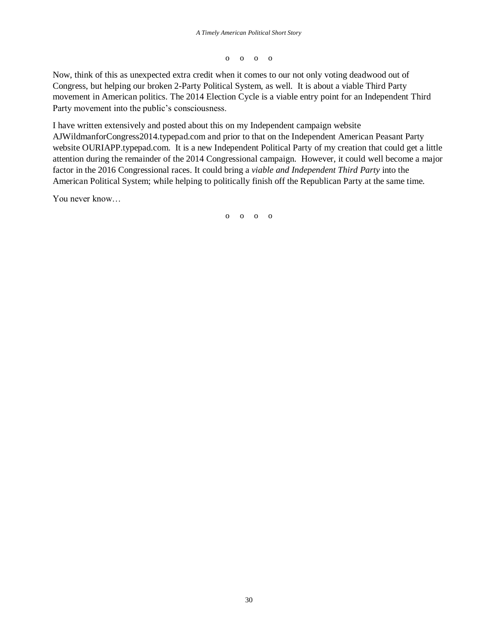o o o o

Now, think of this as unexpected extra credit when it comes to our not only voting deadwood out of Congress, but helping our broken 2-Party Political System, as well. It is about a viable Third Party movement in American politics. The 2014 Election Cycle is a viable entry point for an Independent Third Party movement into the public's consciousness.

I have written extensively and posted about this on my Independent campaign website AJWildmanforCongress2014.typepad.com and prior to that on the Independent American Peasant Party website OURIAPP.typepad.com. It is a new Independent Political Party of my creation that could get a little attention during the remainder of the 2014 Congressional campaign. However, it could well become a major factor in the 2016 Congressional races. It could bring a *viable and Independent Third Party* into the American Political System; while helping to politically finish off the Republican Party at the same time.

You never know…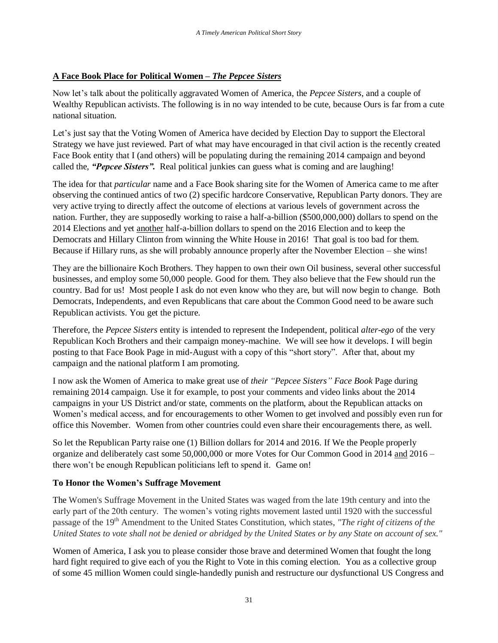# **A Face Book Place for Political Women –** *The Pepcee Sisters*

Now let's talk about the politically aggravated Women of America, the *Pepcee Sisters*, and a couple of Wealthy Republican activists. The following is in no way intended to be cute, because Ours is far from a cute national situation.

Let's just say that the Voting Women of America have decided by Election Day to support the Electoral Strategy we have just reviewed. Part of what may have encouraged in that civil action is the recently created Face Book entity that I (and others) will be populating during the remaining 2014 campaign and beyond called the, *"Pepcee Sisters".* Real political junkies can guess what is coming and are laughing!

The idea for that *particular* name and a Face Book sharing site for the Women of America came to me after observing the continued antics of two (2) specific hardcore Conservative, Republican Party donors. They are very active trying to directly affect the outcome of elections at various levels of government across the nation. Further, they are supposedly working to raise a half-a-billion (\$500,000,000) dollars to spend on the 2014 Elections and yet another half-a-billion dollars to spend on the 2016 Election and to keep the Democrats and Hillary Clinton from winning the White House in 2016! That goal is too bad for them. Because if Hillary runs, as she will probably announce properly after the November Election – she wins!

They are the billionaire Koch Brothers. They happen to own their own Oil business, several other successful businesses, and employ some 50,000 people. Good for them. They also believe that the Few should run the country. Bad for us! Most people I ask do not even know who they are, but will now begin to change. Both Democrats, Independents, and even Republicans that care about the Common Good need to be aware such Republican activists. You get the picture.

Therefore, the *Pepcee Sisters* entity is intended to represent the Independent, political *alter-ego* of the very Republican Koch Brothers and their campaign money-machine. We will see how it develops. I will begin posting to that Face Book Page in mid-August with a copy of this "short story". After that, about my campaign and the national platform I am promoting.

I now ask the Women of America to make great use of *their "Pepcee Sisters" Face Book* Page during remaining 2014 campaign. Use it for example, to post your comments and video links about the 2014 campaigns in your US District and/or state, comments on the platform, about the Republican attacks on Women's medical access, and for encouragements to other Women to get involved and possibly even run for office this November. Women from other countries could even share their encouragements there, as well.

So let the Republican Party raise one (1) Billion dollars for 2014 and 2016. If We the People properly organize and deliberately cast some 50,000,000 or more Votes for Our Common Good in 2014 and 2016 – there won't be enough Republican politicians left to spend it. Game on!

# **To Honor the Women's Suffrage Movement**

The Women's Suffrage Movement in the United States was waged from the late 19th century and into the early part of the 20th century. The women's voting rights movement lasted until 1920 with the successful passage of the 19th Amendment to the United States Constitution, which states, *"The right of citizens of the United States to vote shall not be denied or abridged by the United States or by any State on account of sex."*

Women of America, I ask you to please consider those brave and determined Women that fought the long hard fight required to give each of you the Right to Vote in this coming election. You as a collective group of some 45 million Women could single-handedly punish and restructure our dysfunctional US Congress and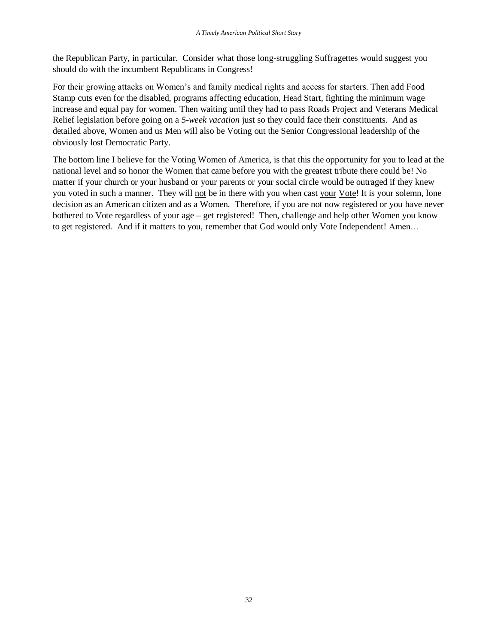the Republican Party, in particular. Consider what those long-struggling Suffragettes would suggest you should do with the incumbent Republicans in Congress!

For their growing attacks on Women's and family medical rights and access for starters. Then add Food Stamp cuts even for the disabled, programs affecting education, Head Start, fighting the minimum wage increase and equal pay for women. Then waiting until they had to pass Roads Project and Veterans Medical Relief legislation before going on a *5-week vacation* just so they could face their constituents. And as detailed above, Women and us Men will also be Voting out the Senior Congressional leadership of the obviously lost Democratic Party.

The bottom line I believe for the Voting Women of America, is that this the opportunity for you to lead at the national level and so honor the Women that came before you with the greatest tribute there could be! No matter if your church or your husband or your parents or your social circle would be outraged if they knew you voted in such a manner. They will not be in there with you when cast your Vote! It is your solemn, lone decision as an American citizen and as a Women. Therefore, if you are not now registered or you have never bothered to Vote regardless of your age – get registered! Then, challenge and help other Women you know to get registered. And if it matters to you, remember that God would only Vote Independent! Amen…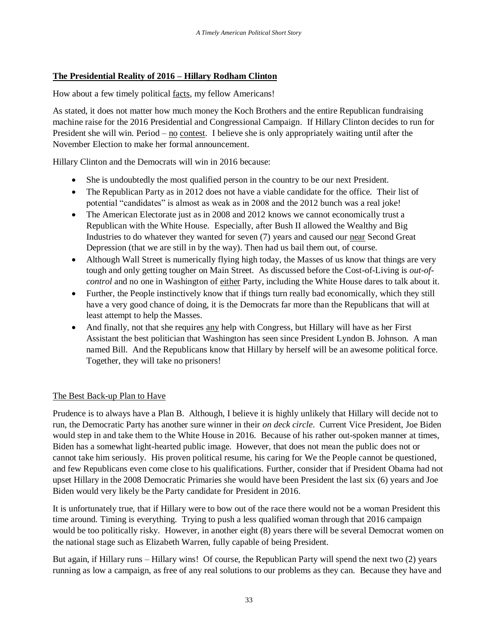# **The Presidential Reality of 2016 – Hillary Rodham Clinton**

How about a few timely political facts, my fellow Americans!

As stated, it does not matter how much money the Koch Brothers and the entire Republican fundraising machine raise for the 2016 Presidential and Congressional Campaign. If Hillary Clinton decides to run for President she will win. Period – no contest. I believe she is only appropriately waiting until after the November Election to make her formal announcement.

Hillary Clinton and the Democrats will win in 2016 because:

- She is undoubtedly the most qualified person in the country to be our next President.
- The Republican Party as in 2012 does not have a viable candidate for the office. Their list of potential "candidates" is almost as weak as in 2008 and the 2012 bunch was a real joke!
- The American Electorate just as in 2008 and 2012 knows we cannot economically trust a Republican with the White House. Especially, after Bush II allowed the Wealthy and Big Industries to do whatever they wanted for seven (7) years and caused our near Second Great Depression (that we are still in by the way). Then had us bail them out, of course.
- Although Wall Street is numerically flying high today, the Masses of us know that things are very tough and only getting tougher on Main Street. As discussed before the Cost-of-Living is *out-ofcontrol* and no one in Washington of either Party, including the White House dares to talk about it.
- Further, the People instinctively know that if things turn really bad economically, which they still have a very good chance of doing, it is the Democrats far more than the Republicans that will at least attempt to help the Masses.
- And finally, not that she requires any help with Congress, but Hillary will have as her First Assistant the best politician that Washington has seen since President Lyndon B. Johnson. A man named Bill. And the Republicans know that Hillary by herself will be an awesome political force. Together, they will take no prisoners!

## The Best Back-up Plan to Have

Prudence is to always have a Plan B. Although, I believe it is highly unlikely that Hillary will decide not to run, the Democratic Party has another sure winner in their *on deck circle*. Current Vice President, Joe Biden would step in and take them to the White House in 2016. Because of his rather out-spoken manner at times, Biden has a somewhat light-hearted public image. However, that does not mean the public does not or cannot take him seriously. His proven political resume, his caring for We the People cannot be questioned, and few Republicans even come close to his qualifications. Further, consider that if President Obama had not upset Hillary in the 2008 Democratic Primaries she would have been President the last six (6) years and Joe Biden would very likely be the Party candidate for President in 2016.

It is unfortunately true, that if Hillary were to bow out of the race there would not be a woman President this time around. Timing is everything. Trying to push a less qualified woman through that 2016 campaign would be too politically risky. However, in another eight (8) years there will be several Democrat women on the national stage such as Elizabeth Warren, fully capable of being President.

But again, if Hillary runs – Hillary wins! Of course, the Republican Party will spend the next two (2) years running as low a campaign, as free of any real solutions to our problems as they can. Because they have and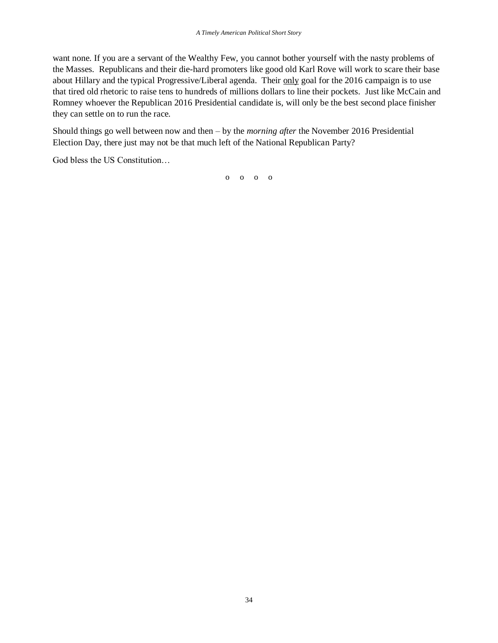want none. If you are a servant of the Wealthy Few, you cannot bother yourself with the nasty problems of the Masses. Republicans and their die-hard promoters like good old Karl Rove will work to scare their base about Hillary and the typical Progressive/Liberal agenda. Their only goal for the 2016 campaign is to use that tired old rhetoric to raise tens to hundreds of millions dollars to line their pockets. Just like McCain and Romney whoever the Republican 2016 Presidential candidate is, will only be the best second place finisher they can settle on to run the race.

Should things go well between now and then – by the *morning after* the November 2016 Presidential Election Day, there just may not be that much left of the National Republican Party?

God bless the US Constitution…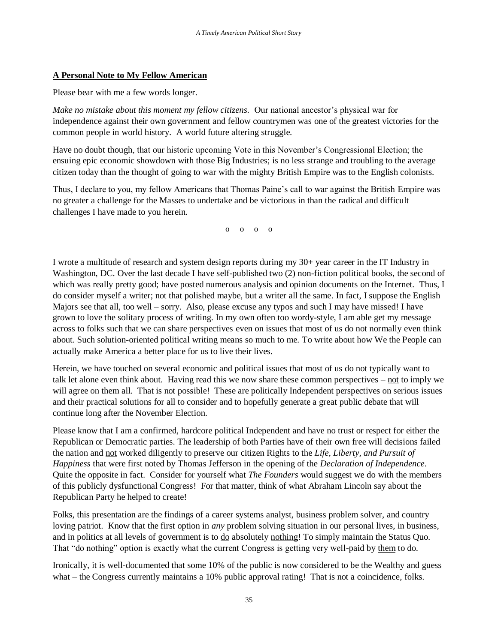# **A Personal Note to My Fellow American**

Please bear with me a few words longer.

*Make no mistake about this moment my fellow citizens.* Our national ancestor's physical war for independence against their own government and fellow countrymen was one of the greatest victories for the common people in world history. A world future altering struggle.

Have no doubt though, that our historic upcoming Vote in this November's Congressional Election; the ensuing epic economic showdown with those Big Industries; is no less strange and troubling to the average citizen today than the thought of going to war with the mighty British Empire was to the English colonists.

Thus, I declare to you, my fellow Americans that Thomas Paine's call to war against the British Empire was no greater a challenge for the Masses to undertake and be victorious in than the radical and difficult challenges I have made to you herein.

o o o o

I wrote a multitude of research and system design reports during my 30+ year career in the IT Industry in Washington, DC. Over the last decade I have self-published two (2) non-fiction political books, the second of which was really pretty good; have posted numerous analysis and opinion documents on the Internet. Thus, I do consider myself a writer; not that polished maybe, but a writer all the same. In fact, I suppose the English Majors see that all, too well – sorry. Also, please excuse any typos and such I may have missed! I have grown to love the solitary process of writing. In my own often too wordy-style, I am able get my message across to folks such that we can share perspectives even on issues that most of us do not normally even think about. Such solution-oriented political writing means so much to me. To write about how We the People can actually make America a better place for us to live their lives.

Herein, we have touched on several economic and political issues that most of us do not typically want to talk let alone even think about. Having read this we now share these common perspectives – not to imply we will agree on them all. That is not possible! These are politically Independent perspectives on serious issues and their practical solutions for all to consider and to hopefully generate a great public debate that will continue long after the November Election.

Please know that I am a confirmed, hardcore political Independent and have no trust or respect for either the Republican or Democratic parties. The leadership of both Parties have of their own free will decisions failed the nation and not worked diligently to preserve our citizen Rights to the *Life, Liberty, and Pursuit of Happiness* that were first noted by Thomas Jefferson in the opening of the *Declaration of Independence*. Quite the opposite in fact. Consider for yourself what *The Founders* would suggest we do with the members of this publicly dysfunctional Congress! For that matter, think of what Abraham Lincoln say about the Republican Party he helped to create!

Folks, this presentation are the findings of a career systems analyst, business problem solver, and country loving patriot. Know that the first option in *any* problem solving situation in our personal lives, in business, and in politics at all levels of government is to do absolutely nothing! To simply maintain the Status Quo. That "do nothing" option is exactly what the current Congress is getting very well-paid by them to do.

Ironically, it is well-documented that some 10% of the public is now considered to be the Wealthy and guess what – the Congress currently maintains a 10% public approval rating! That is not a coincidence, folks.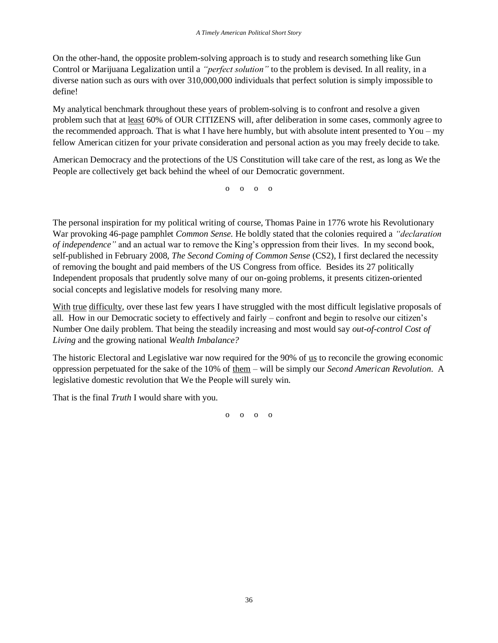On the other-hand, the opposite problem-solving approach is to study and research something like Gun Control or Marijuana Legalization until a *"perfect solution"* to the problem is devised. In all reality, in a diverse nation such as ours with over 310,000,000 individuals that perfect solution is simply impossible to define!

My analytical benchmark throughout these years of problem-solving is to confront and resolve a given problem such that at least 60% of OUR CITIZENS will, after deliberation in some cases, commonly agree to the recommended approach. That is what I have here humbly, but with absolute intent presented to You – my fellow American citizen for your private consideration and personal action as you may freely decide to take.

American Democracy and the protections of the US Constitution will take care of the rest, as long as We the People are collectively get back behind the wheel of our Democratic government.

o o o o

The personal inspiration for my political writing of course, Thomas Paine in 1776 wrote his Revolutionary War provoking 46-page pamphlet *Common Sense.* He boldly stated that the colonies required a *"declaration of independence"* and an actual war to remove the King's oppression from their lives. In my second book, self-published in February 2008, *The Second Coming of Common Sense* (CS2), I first declared the necessity of removing the bought and paid members of the US Congress from office. Besides its 27 politically Independent proposals that prudently solve many of our on-going problems, it presents citizen-oriented social concepts and legislative models for resolving many more.

With true difficulty, over these last few years I have struggled with the most difficult legislative proposals of all. How in our Democratic society to effectively and fairly – confront and begin to resolve our citizen's Number One daily problem. That being the steadily increasing and most would say *out-of-control Cost of Living* and the growing national *Wealth Imbalance?*

The historic Electoral and Legislative war now required for the 90% of us to reconcile the growing economic oppression perpetuated for the sake of the 10% of them – will be simply our *Second American Revolution*. A legislative domestic revolution that We the People will surely win.

That is the final *Truth* I would share with you.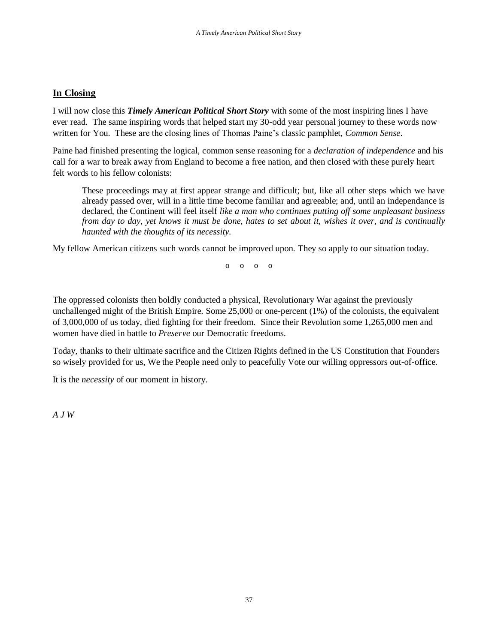# **In Closing**

I will now close this *Timely American Political Short Story* with some of the most inspiring lines I have ever read. The same inspiring words that helped start my 30-odd year personal journey to these words now written for You. These are the closing lines of Thomas Paine's classic pamphlet, *Common Sense*.

Paine had finished presenting the logical, common sense reasoning for a *declaration of independence* and his call for a war to break away from England to become a free nation, and then closed with these purely heart felt words to his fellow colonists:

These proceedings may at first appear strange and difficult; but, like all other steps which we have already passed over, will in a little time become familiar and agreeable; and, until an independance is declared, the Continent will feel itself *like a man who continues putting off some unpleasant business from day to day, yet knows it must be done, hates to set about it, wishes it over, and is continually haunted with the thoughts of its necessity.*

My fellow American citizens such words cannot be improved upon. They so apply to our situation today.

 $\begin{pmatrix} 0 & 0 & 0 \end{pmatrix}$ 

The oppressed colonists then boldly conducted a physical, Revolutionary War against the previously unchallenged might of the British Empire. Some 25,000 or one-percent (1%) of the colonists, the equivalent of 3,000,000 of us today, died fighting for their freedom. Since their Revolution some 1,265,000 men and women have died in battle to *Preserve* our Democratic freedoms.

Today, thanks to their ultimate sacrifice and the Citizen Rights defined in the US Constitution that Founders so wisely provided for us, We the People need only to peacefully Vote our willing oppressors out-of-office.

It is the *necessity* of our moment in history.

*A J W*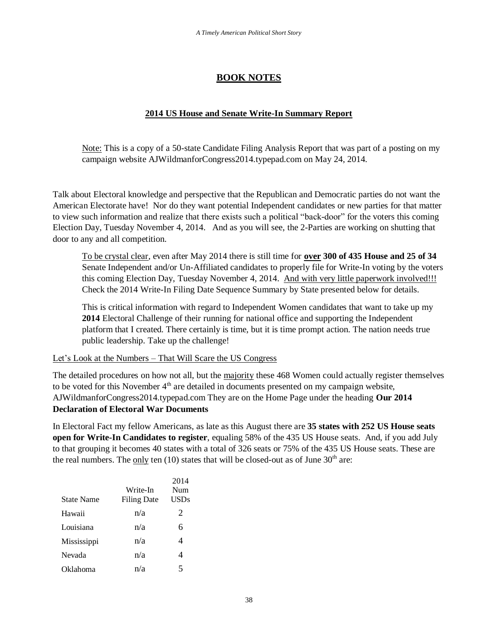# **BOOK NOTES**

# **2014 US House and Senate Write-In Summary Report**

Note: This is a copy of a 50-state Candidate Filing Analysis Report that was part of a posting on my campaign website AJWildmanforCongress2014.typepad.com on May 24, 2014.

Talk about Electoral knowledge and perspective that the Republican and Democratic parties do not want the American Electorate have! Nor do they want potential Independent candidates or new parties for that matter to view such information and realize that there exists such a political "back-door" for the voters this coming Election Day, Tuesday November 4, 2014. And as you will see, the 2-Parties are working on shutting that door to any and all competition.

To be crystal clear, even after May 2014 there is still time for **over 300 of 435 House and 25 of 34** Senate Independent and/or Un-Affiliated candidates to properly file for Write-In voting by the voters this coming Election Day, Tuesday November 4, 2014. And with very little paperwork involved!!! Check the 2014 Write-In Filing Date Sequence Summary by State presented below for details.

This is critical information with regard to Independent Women candidates that want to take up my **2014** Electoral Challenge of their running for national office and supporting the Independent platform that I created. There certainly is time, but it is time prompt action. The nation needs true public leadership. Take up the challenge!

Let's Look at the Numbers – That Will Scare the US Congress

The detailed procedures on how not all, but the majority these 468 Women could actually register themselves to be voted for this November  $4<sup>th</sup>$  are detailed in documents presented on my campaign website, AJWildmanforCongress2014.typepad.com They are on the Home Page under the heading **Our 2014 Declaration of Electoral War Documents** 

In Electoral Fact my fellow Americans, as late as this August there are **35 states with 252 US House seats open for Write-In Candidates to register**, equaling 58% of the 435 US House seats. And, if you add July to that grouping it becomes 40 states with a total of 326 seats or 75% of the 435 US House seats. These are the real numbers. The only ten  $(10)$  states that will be closed-out as of June 30<sup>th</sup> are:

|                   |                    | 2014 |
|-------------------|--------------------|------|
|                   | Write-In           | Num  |
| <b>State Name</b> | <b>Filing Date</b> | USDs |
| Hawaii            | n/a                | 2    |
| Louisiana         | n/a                | 6    |
| Mississippi       | n/a                | 4    |
| Nevada            | n/a                | 4    |
| Oklahoma          | n/a                | 5    |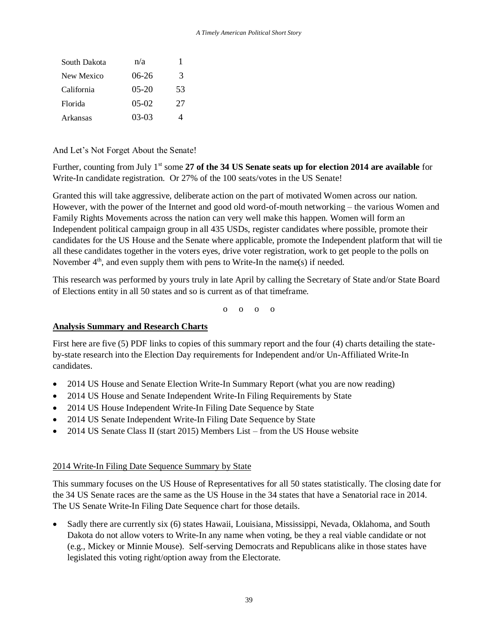| South Dakota | n/a         |    |
|--------------|-------------|----|
| New Mexico   | 06-26       | 3  |
| California   | $05-20$     | 53 |
| Florida      | $0.5 - 0.2$ | 27 |
| Arkansas     | 03-03       |    |

# And Let's Not Forget About the Senate!

Further, counting from July 1<sup>st</sup> some 27 of the 34 US Senate seats up for election 2014 are available for Write-In candidate registration. Or 27% of the 100 seats/votes in the US Senate!

Granted this will take aggressive, deliberate action on the part of motivated Women across our nation. However, with the power of the Internet and good old word-of-mouth networking – the various Women and Family Rights Movements across the nation can very well make this happen. Women will form an Independent political campaign group in all 435 USDs, register candidates where possible, promote their candidates for the US House and the Senate where applicable, promote the Independent platform that will tie all these candidates together in the voters eyes, drive voter registration, work to get people to the polls on November  $4<sup>th</sup>$ , and even supply them with pens to Write-In the name(s) if needed.

This research was performed by yours truly in late April by calling the Secretary of State and/or State Board of Elections entity in all 50 states and so is current as of that timeframe.

o o o o

# **Analysis Summary and Research Charts**

First here are five (5) PDF links to copies of this summary report and the four (4) charts detailing the stateby-state research into the Election Day requirements for Independent and/or Un-Affiliated Write-In candidates.

- 2014 US House and Senate Election Write-In Summary Report (what you are now reading)
- 2014 US House and Senate Independent Write-In Filing Requirements by State
- 2014 US House Independent Write-In Filing Date Sequence by State
- 2014 US Senate Independent Write-In Filing Date Sequence by State
- 2014 US Senate Class II (start 2015) Members List from the US House website

## 2014 Write-In Filing Date Sequence Summary by State

This summary focuses on the US House of Representatives for all 50 states statistically. The closing date for the 34 US Senate races are the same as the US House in the 34 states that have a Senatorial race in 2014. The US Senate Write-In Filing Date Sequence chart for those details.

• Sadly there are currently six (6) states Hawaii, Louisiana, Mississippi, Nevada, Oklahoma, and South Dakota do not allow voters to Write-In any name when voting, be they a real viable candidate or not (e.g., Mickey or Minnie Mouse). Self-serving Democrats and Republicans alike in those states have legislated this voting right/option away from the Electorate.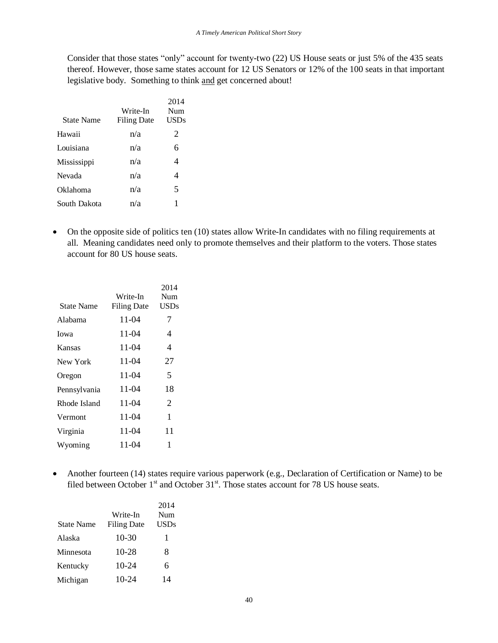Consider that those states "only" account for twenty-two (22) US House seats or just 5% of the 435 seats thereof. However, those same states account for 12 US Senators or 12% of the 100 seats in that important legislative body. Something to think and get concerned about!

| <b>State Name</b>   | Write-In<br><b>Filing Date</b> | 2014<br>Num<br>USDs |
|---------------------|--------------------------------|---------------------|
| Hawaii              | n/a                            | 2                   |
| Louisiana           | n/a                            | 6                   |
| Mississippi         | n/a                            | 4                   |
| Nevada              | n/a                            | 4                   |
| Oklahoma            | n/a                            | 5                   |
| <b>South Dakota</b> | n/a                            | 1                   |

• On the opposite side of politics ten (10) states allow Write-In candidates with no filing requirements at all. Meaning candidates need only to promote themselves and their platform to the voters. Those states account for 80 US house seats.

|                   |                    | 2014        |
|-------------------|--------------------|-------------|
|                   | Write-In           | Num         |
| <b>State Name</b> | <b>Filing Date</b> | <b>USDs</b> |
| Alabama           | 11-04              | 7           |
| Iowa              | 11-04              | 4           |
| Kansas            | 11-04              | 4           |
| New York          | 11-04              | 27          |
| Oregon            | 11-04              | 5           |
| Pennsylvania      | 11-04              | 18          |
| Rhode Island      | 11-04              | 2           |
| Vermont           | 11-04              | 1           |
| Virginia          | 11-04              | 11          |
| Wyoming           | 11-04              | 1           |
|                   |                    |             |

 Another fourteen (14) states require various paperwork (e.g., Declaration of Certification or Name) to be filed between October 1<sup>st</sup> and October 31<sup>st</sup>. Those states account for 78 US house seats.

|                   |                    | 2014        |
|-------------------|--------------------|-------------|
|                   | Write-In           | Num         |
| <b>State Name</b> | <b>Filing Date</b> | <b>USDs</b> |
| Alaska            | $10-30$            | 1           |
| Minnesota         | $10 - 28$          | 8           |
| Kentucky          | $10-24$            | 6           |
| Michigan          | $10-24$            | 14          |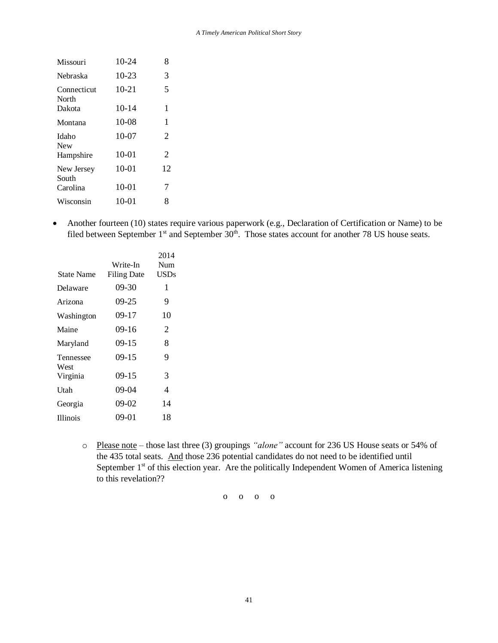| Missouri             | $10-24$   | 8              |
|----------------------|-----------|----------------|
| Nebraska             | $10 - 23$ | 3              |
| Connecticut<br>North | $10 - 21$ | 5              |
| Dakota               | $10-14$   | 1              |
| Montana              | $10-08$   | 1              |
| Idaho<br><b>New</b>  | $10-07$   | 2              |
| Hampshire            | $10 - 01$ | $\overline{2}$ |
| New Jersey<br>South  | $10 - 01$ | 12             |
| Carolina             | $10 - 01$ | 7              |
| Wisconsin            | $10-01$   | 8              |

• Another fourteen (10) states require various paperwork (e.g., Declaration of Certification or Name) to be filed between September  $1<sup>st</sup>$  and September  $30<sup>th</sup>$ . Those states account for another 78 US house seats.

|                   |                    | 2014        |
|-------------------|--------------------|-------------|
|                   | Write-In           | Num         |
| <b>State Name</b> | <b>Filing Date</b> | <b>USDs</b> |
| Delaware          | $09 - 30$          | 1           |
| Arizona           | $09 - 25$          | 9           |
| Washington        | $09-17$            | 10          |
| Maine             | $09-16$            | 2           |
| Maryland          | $09-15$            | 8           |
| Tennessee<br>West | $09-15$            | 9           |
| Virginia          | $09-15$            | 3           |
| Utah              | 09-04              | 4           |
| Georgia           | $09-02$            | 14          |
| <b>Illinois</b>   | 09-01              | 18          |

o Please note – those last three (3) groupings *"alone"* account for 236 US House seats or 54% of the 435 total seats. And those 236 potential candidates do not need to be identified until September  $1<sup>st</sup>$  of this election year. Are the politically Independent Women of America listening to this revelation??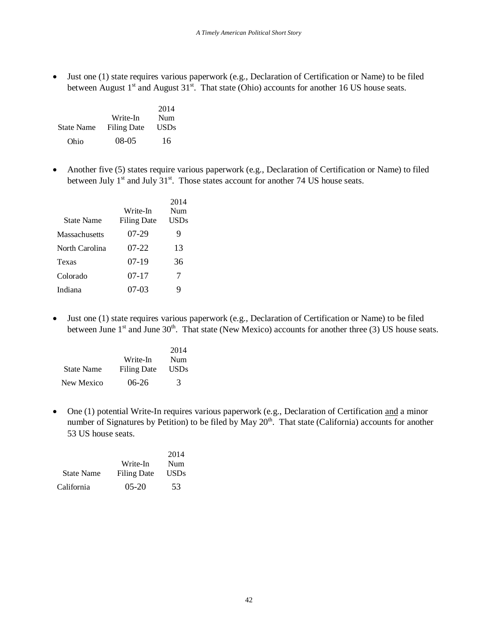Just one (1) state requires various paperwork (e.g., Declaration of Certification or Name) to be filed between August  $1<sup>st</sup>$  and August  $31<sup>st</sup>$ . That state (Ohio) accounts for another 16 US house seats.

|                   |                    | 2014        |
|-------------------|--------------------|-------------|
|                   | Write-In           | Num         |
| <b>State Name</b> | <b>Filing Date</b> | <b>USDs</b> |
| Ohio              | 08-05              | 16          |

 Another five (5) states require various paperwork (e.g., Declaration of Certification or Name) to filed between July  $1^{st}$  and July  $31^{st}$ . Those states account for another 74 US house seats.

|                | Write-In           | 2014<br>Num |
|----------------|--------------------|-------------|
| State Name     | <b>Filing Date</b> | USDs        |
| Massachusetts  | 07-29              | 9           |
| North Carolina | 07-22              | 13          |
| Texas          | $07-19$            | 36          |
| Colorado       | 07-17              | 7           |
| Indiana        | 07-03              | 9           |

 Just one (1) state requires various paperwork (e.g., Declaration of Certification or Name) to be filed between June  $1<sup>st</sup>$  and June 30<sup>th</sup>. That state (New Mexico) accounts for another three (3) US house seats.

|                   |             | 2014 |
|-------------------|-------------|------|
|                   | Write-In    | Num  |
| <b>State Name</b> | Filing Date | USDs |
| New Mexico        | $06-26$     | 3    |

• One (1) potential Write-In requires various paperwork (e.g., Declaration of Certification and a minor number of Signatures by Petition) to be filed by May  $20<sup>th</sup>$ . That state (California) accounts for another 53 US house seats.

|                   |                    | 2014 |
|-------------------|--------------------|------|
|                   | Write-In           | Num  |
| <b>State Name</b> | <b>Filing Date</b> | USDs |
| California        | $05-20$            | 53   |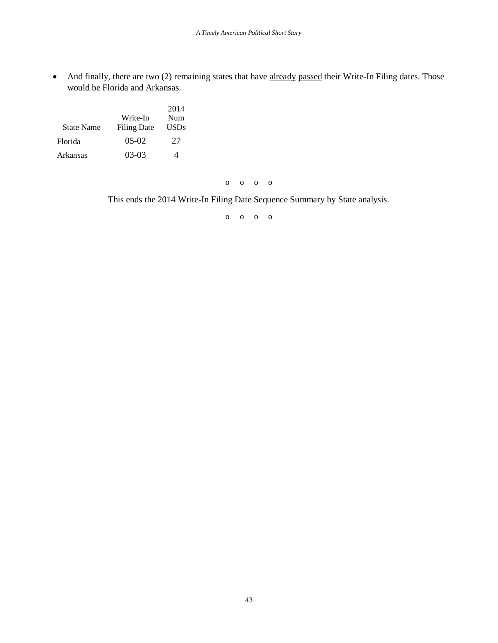• And finally, there are two (2) remaining states that have already passed their Write-In Filing dates. Those would be Florida and Arkansas.

|                   |                    | 2014 |
|-------------------|--------------------|------|
|                   | Write-In           | Num  |
| <b>State Name</b> | <b>Filing Date</b> | USDs |
| Florida           | $05-02$            | 27   |
| Arkansas          | $03-03$            |      |

o o o o

This ends the 2014 Write-In Filing Date Sequence Summary by State analysis.